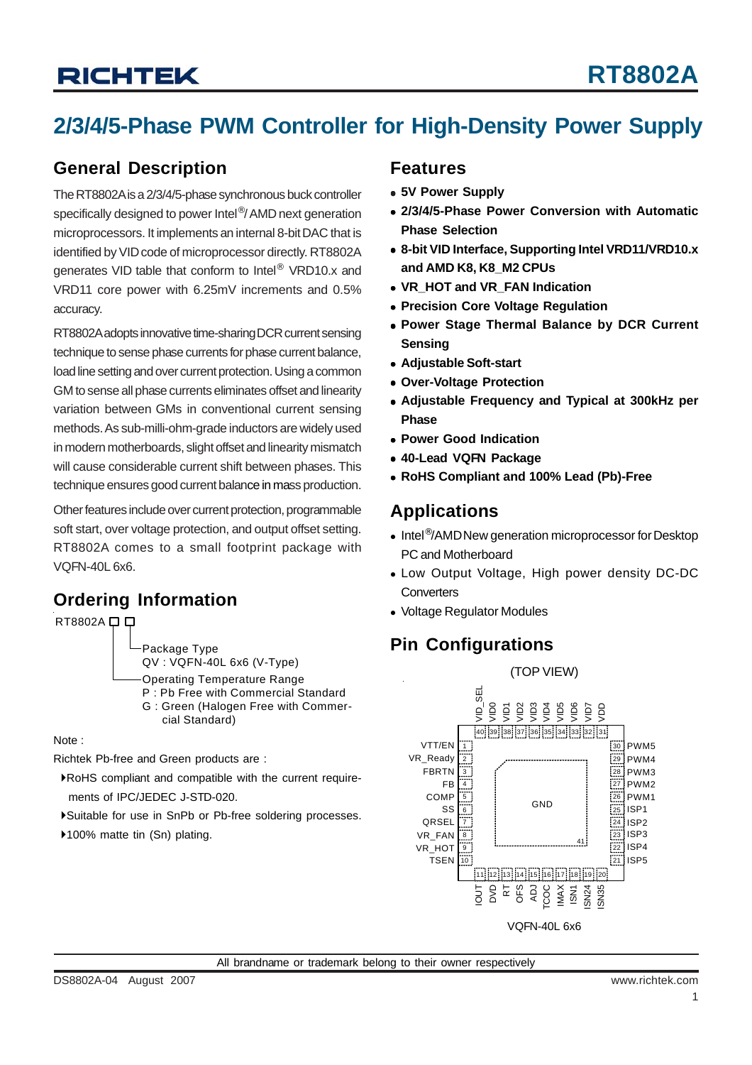# **RICHTEK**

## **2/3/4/5-Phase PWM Controller for High-Density Power Supply**

### **General Description**

The RT8802A is a 2/3/4/5-phase synchronous buck controller specifically designed to power Intel<sup>®</sup>/ AMD next generation microprocessors. It implements an internal 8-bit DAC that is identified by VID code of microprocessor directly. RT8802A generates VID table that conform to Intel® VRD10.x and VRD11 core power with 6.25mV increments and 0.5% accuracy.

RT8802A adopts innovative time-sharing DCR current sensing technique to sense phase currents for phase current balance, load line setting and over current protection. Using a common GM to sense all phase currents eliminates offset and linearity variation between GMs in conventional current sensing methods. As sub-milli-ohm-grade inductors are widely used in modern motherboards, slight offset and linearity mismatch will cause considerable current shift between phases. This technique ensures good current balance in mass production.

Other features include over current protection, programmable soft start, over voltage protection, and output offset setting. RT8802A comes to a small footprint package with VQFN-40L 6x6.

## **Ordering Information**<br>
• Voltage Regulator Modules



Package Type QV : VQFN-40L 6x6 (V-Type)

- Operating Temperature Range
- P : Pb Free with Commercial Standard G : Green (Halogen Free with Commer
	- cial Standard)

Note :

Richtek Pb-free and Green products are :

- `RoHS compliant and compatible with the current require ments of IPC/JEDEC J-STD-020.
- `Suitable for use in SnPb or Pb-free soldering processes.
- ▶100% matte tin (Sn) plating.

### **Features**

- <sup>z</sup> **5V Power Supply**
- <sup>z</sup> **2/3/4/5-Phase Power Conversion with Automatic Phase Selection**
- <sup>z</sup> **8-bit VID Interface, Supporting Intel VRD11/VRD10.x and AMD K8, K8\_M2 CPUs**
- VR\_HOT and VR\_FAN Indication
- **Precision Core Voltage Regulation**
- **Power Stage Thermal Balance by DCR Current Sensing**
- **Adjustable Soft-start**
- <sup>z</sup> **Over-Voltage Protection**
- <sup>z</sup> **Adjustable Frequency and Typical at 300kHz per Phase**
- <sup>z</sup> **Power Good Indication**
- <sup>z</sup> **40-Lead VQFN Package**
- <sup>z</sup> **RoHS Compliant and 100% Lead (Pb)-Free**

### **Applications**

- Intel<sup>®</sup>/AMD New generation microprocessor for Desktop PC and Motherboard
- Low Output Voltage, High power density DC-DC **Converters**
- 

### **Pin Configurations**

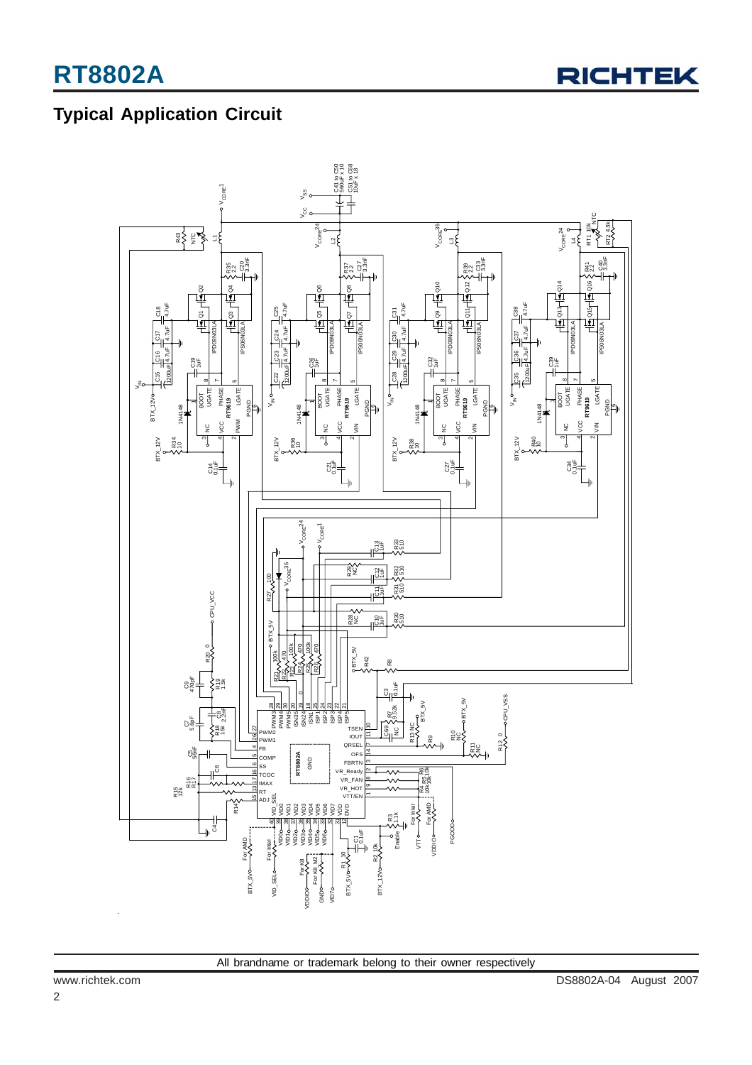

## **Typical Application Circuit**

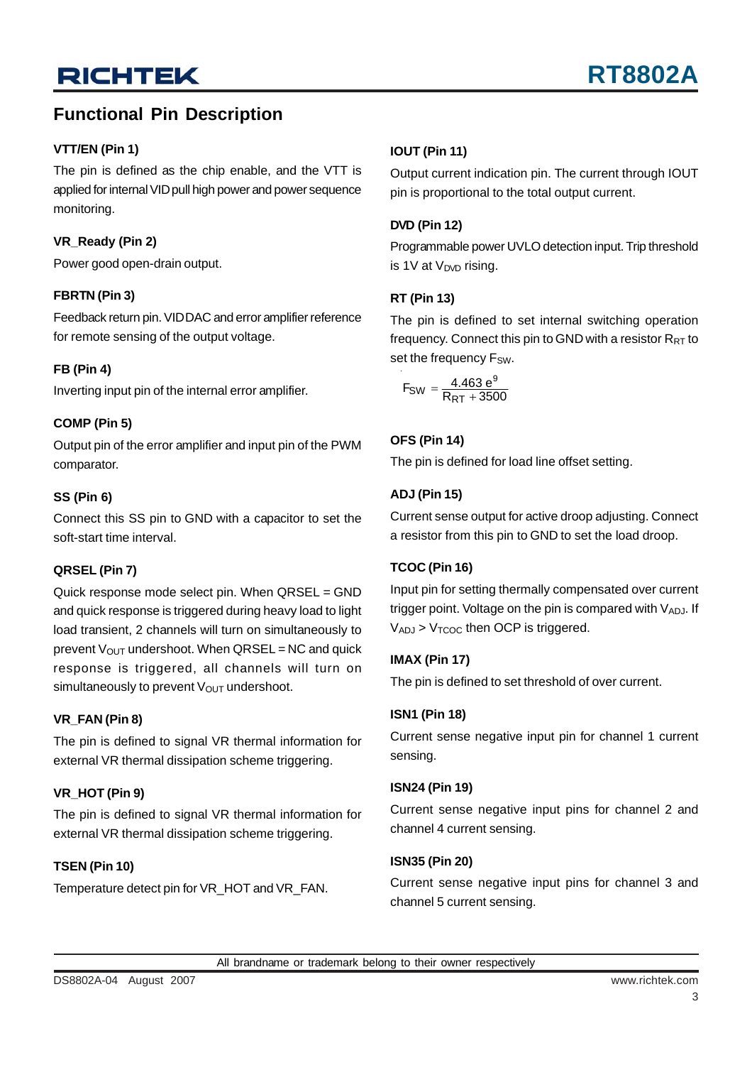### **Functional Pin Description**

### **VTT/EN (Pin 1)**

The pin is defined as the chip enable, and the VTT is applied for internal VID pull high power and power sequence monitoring.

### **VR\_Ready (Pin 2)**

Power good open-drain output.

### **FBRTN (Pin 3)**

Feedback return pin. VID DAC and error amplifier reference for remote sensing of the output voltage.

### **FB (Pin 4)**

Inverting input pin of the internal error amplifier.

### **COMP (Pin 5)**

Output pin of the error amplifier and input pin of the PWM comparator.

### **SS (Pin 6)**

Connect this SS pin to GND with a capacitor to set the soft-start time interval.

### **QRSEL (Pin 7)**

Quick response mode select pin. When QRSEL = GND and quick response is triggered during heavy load to light load transient, 2 channels will turn on simultaneously to prevent  $V_{OUT}$  undershoot. When  $QRSEL = NC$  and quick response is triggered, all channels will turn on simultaneously to prevent  $V_{\text{OUT}}$  undershoot.

### **VR\_FAN (Pin 8)**

The pin is defined to signal VR thermal information for external VR thermal dissipation scheme triggering.

### **VR\_HOT (Pin 9)**

The pin is defined to signal VR thermal information for external VR thermal dissipation scheme triggering.

### **TSEN (Pin 10)**

Temperature detect pin for VR\_HOT and VR\_FAN.

### **IOUT (Pin 11)**

Output current indication pin. The current through IOUT pin is proportional to the total output current.

### **DVD (Pin 12)**

Programmable power UVLO detection input. Trip threshold is 1V at  $V_{\text{DVD}}$  rising.

### **RT (Pin 13)**

The pin is defined to set internal switching operation frequency. Connect this pin to GND with a resistor  $R_{RT}$  to set the frequency F<sub>SW</sub>.

$$
F_{SW} = \frac{4.463 e^9}{R_{RT} + 3500}
$$

### **OFS (Pin 14)**

The pin is defined for load line offset setting.

### **ADJ (Pin 15)**

Current sense output for active droop adjusting. Connect a resistor from this pin to GND to set the load droop.

### **TCOC (Pin 16)**

Input pin for setting thermally compensated over current trigger point. Voltage on the pin is compared with  $V_{AD,J}$ . If  $V_{ADJ}$  >  $V_{TCOC}$  then OCP is triggered.

### **IMAX (Pin 17)**

The pin is defined to set threshold of over current.

### **ISN1 (Pin 18)**

Current sense negative input pin for channel 1 current sensing.

### **ISN24 (Pin 19)**

Current sense negative input pins for channel 2 and channel 4 current sensing.

### **ISN35 (Pin 20)**

Current sense negative input pins for channel 3 and channel 5 current sensing.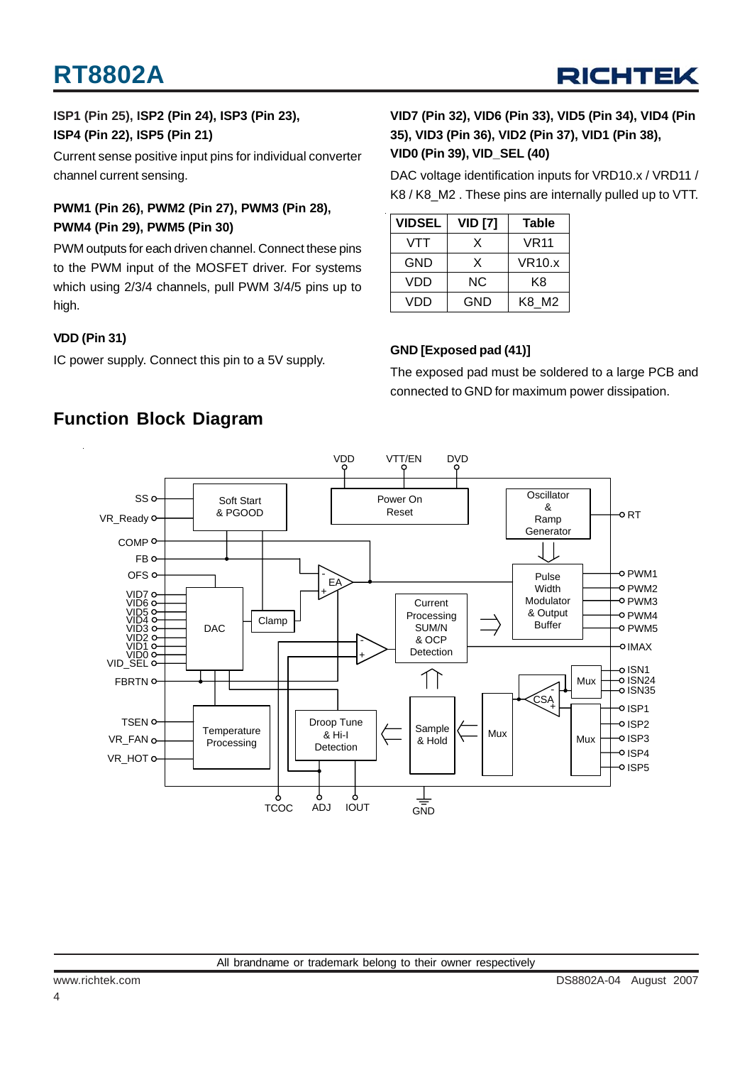

### **ISP1 (Pin 25), ISP2 (Pin 24), ISP3 (Pin 23), ISP4 (Pin 22), ISP5 (Pin 21)**

Current sense positive input pins for individual converter channel current sensing.

### **PWM1 (Pin 26), PWM2 (Pin 27), PWM3 (Pin 28), PWM4 (Pin 29), PWM5 (Pin 30)**

PWM outputs for each driven channel. Connect these pins to the PWM input of the MOSFET driver. For systems which using 2/3/4 channels, pull PWM 3/4/5 pins up to high.

### **VDD (Pin 31)**

IC power supply. Connect this pin to a 5V supply.

### **VID7 (Pin 32), VID6 (Pin 33), VID5 (Pin 34), VID4 (Pin 35), VID3 (Pin 36), VID2 (Pin 37), VID1 (Pin 38), VID0 (Pin 39), VID\_SEL (40)**

DAC voltage identification inputs for VRD10.x / VRD11 / K8 / K8\_M2 . These pins are internally pulled up to VTT.

| <b>VIDSEL</b> | <b>VID [7]</b> | <b>Table</b> |
|---------------|----------------|--------------|
| VTT           | x              | <b>VR11</b>  |
| GND           | X              | VR10.x       |
| VDD           | ΝC             | K8           |
| VDD           | GND            | K8 M2        |

### **GND [Exposed pad (41)]**

The exposed pad must be soldered to a large PCB and connected to GND for maximum power dissipation.



### **Function Block Diagram**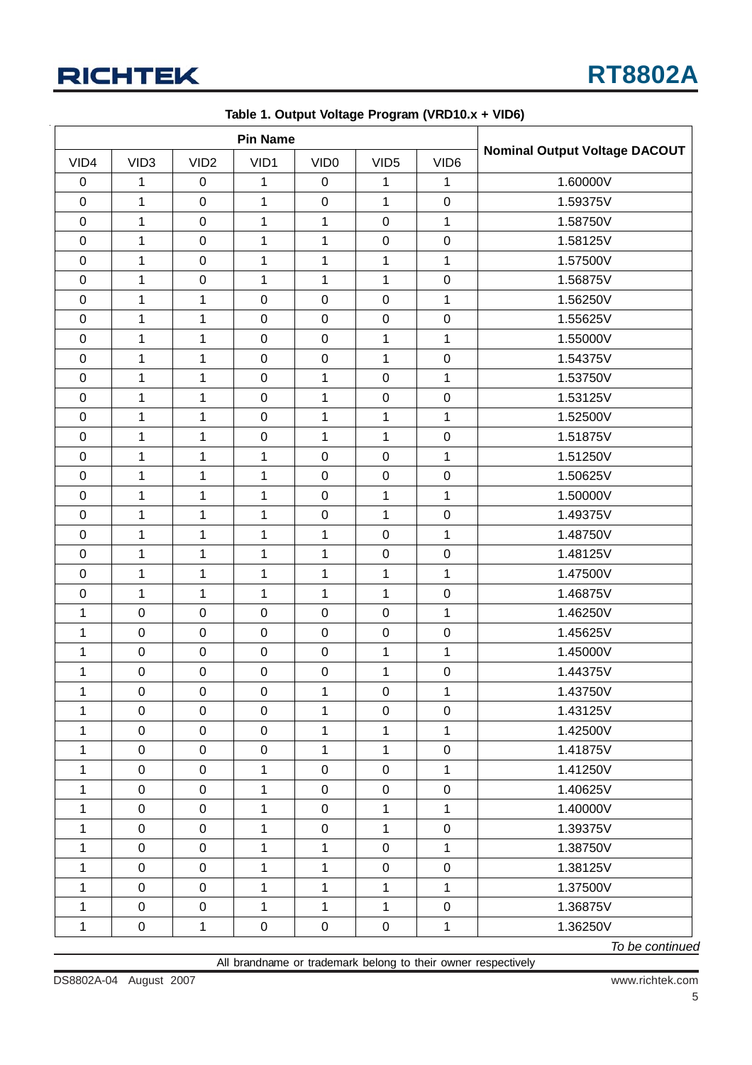

| <b>Pin Name</b>  |                     |                  |                     |                  |                  |                  |                                      |
|------------------|---------------------|------------------|---------------------|------------------|------------------|------------------|--------------------------------------|
| VID4             | VID <sub>3</sub>    | VID <sub>2</sub> | VID1                | VID <sub>0</sub> | VID <sub>5</sub> | VID <sub>6</sub> | <b>Nominal Output Voltage DACOUT</b> |
| $\boldsymbol{0}$ | 1                   | $\mathbf 0$      | 1                   | $\mathbf 0$      | 1                | 1                | 1.60000V                             |
| $\mathsf 0$      | $\mathbf{1}$        | $\mathbf 0$      | $\mathbf 1$         | $\pmb{0}$        | $\mathbf{1}$     | $\pmb{0}$        | 1.59375V                             |
| $\boldsymbol{0}$ | $\mathbf{1}$        | $\mathbf 0$      | $\mathbf{1}$        | $\mathbf{1}$     | $\mathsf 0$      | 1                | 1.58750V                             |
| $\boldsymbol{0}$ | $\mathbf{1}$        | $\mathbf 0$      | $\mathbf 1$         | $\mathbf{1}$     | $\mathbf 0$      | $\pmb{0}$        | 1.58125V                             |
| $\mathsf 0$      | $\mathbf 1$         | $\mathbf 0$      | $\mathbf 1$         | $\mathbf 1$      | $\mathbf{1}$     | 1                | 1.57500V                             |
| $\mathbf 0$      | $\mathbf 1$         | $\mathbf 0$      | $\mathbf 1$         | $\mathbf 1$      | $\mathbf{1}$     | $\boldsymbol{0}$ | 1.56875V                             |
| $\boldsymbol{0}$ | $\mathbf{1}$        | 1                | $\pmb{0}$           | $\boldsymbol{0}$ | $\mathbf 0$      | 1                | 1.56250V                             |
| $\boldsymbol{0}$ | 1                   | $\mathbf{1}$     | $\mathbf 0$         | $\pmb{0}$        | $\mathbf 0$      | $\boldsymbol{0}$ | 1.55625V                             |
| $\boldsymbol{0}$ | $\mathbf 1$         | 1                | $\pmb{0}$           | $\pmb{0}$        | $\mathbf{1}$     | 1                | 1.55000V                             |
| $\boldsymbol{0}$ | 1                   | $\mathbf{1}$     | $\pmb{0}$           | $\boldsymbol{0}$ | $\mathbf{1}$     | $\pmb{0}$        | 1.54375V                             |
| $\boldsymbol{0}$ | $\mathbf{1}$        | $\mathbf{1}$     | $\pmb{0}$           | $\mathbf{1}$     | $\mathbf 0$      | 1                | 1.53750V                             |
| $\pmb{0}$        | $\mathbf 1$         | $\mathbf 1$      | $\pmb{0}$           | $\mathbf{1}$     | $\mathsf 0$      | $\pmb{0}$        | 1.53125V                             |
| $\boldsymbol{0}$ | $\mathbf{1}$        | 1                | $\pmb{0}$           | $\mathbf{1}$     | 1                | 1                | 1.52500V                             |
| $\mathbf 0$      | 1                   | $\mathbf{1}$     | $\pmb{0}$           | $\mathbf{1}$     | $\mathbf{1}$     | $\pmb{0}$        | 1.51875V                             |
| $\mathbf 0$      | 1                   | $\mathbf{1}$     | $\mathbf 1$         | $\boldsymbol{0}$ | $\mathsf 0$      | 1                | 1.51250V                             |
| 0                | $\mathbf{1}$        | $\mathbf{1}$     | $\mathbf 1$         | $\pmb{0}$        | $\mathbf 0$      | 0                | 1.50625V                             |
| $\mathbf 0$      | 1                   | 1                | $\mathbf 1$         | $\mathbf 0$      | 1                | $\mathbf 1$      | 1.50000V                             |
| $\mathbf 0$      | $\mathbf 1$         | $\mathbf 1$      | $\mathbf 1$         | $\pmb{0}$        | $\mathbf{1}$     | $\pmb{0}$        | 1.49375V                             |
| $\mathsf 0$      | $\mathbf{1}$        | $\mathbf 1$      | $\mathbf 1$         | $\mathbf{1}$     | $\mathsf 0$      | 1                | 1.48750V                             |
| $\mathbf 0$      | $\mathbf{1}$        | $\mathbf{1}$     | $\mathbf 1$         | $\mathbf 1$      | $\mathbf 0$      | $\pmb{0}$        | 1.48125V                             |
| $\mathbf 0$      | 1                   | 1                | $\mathbf{1}$        | 1                | 1                | 1                | 1.47500V                             |
| $\mathsf 0$      | 1                   | $\mathbf{1}$     | $\mathbf 1$         | $\mathbf{1}$     | $\mathbf{1}$     | $\pmb{0}$        | 1.46875V                             |
| 1                | $\pmb{0}$           | $\pmb{0}$        | $\pmb{0}$           | $\pmb{0}$        | $\mathsf 0$      | $\mathbf 1$      | 1.46250V                             |
| 1                | $\mathbf 0$         | $\pmb{0}$        | $\pmb{0}$           | $\pmb{0}$        | $\mathsf 0$      | $\mathbf 0$      | 1.45625V                             |
| 1                | $\pmb{0}$           | $\mathbf 0$      | $\pmb{0}$           | $\pmb{0}$        | $\mathbf{1}$     | 1                | 1.45000V                             |
| 1                | $\pmb{0}$           | $\mathsf 0$      | $\pmb{0}$           | $\pmb{0}$        | $\mathbf{1}$     | $\pmb{0}$        | 1.44375V                             |
| $\mathbf 1$      | $\mathbf 0$         | $\mathbf 0$      | $\pmb{0}$           | $\mathbf 1$      | $\mathbf 0$      | $\mathbf{1}$     | 1.43750V                             |
| 1                | 0                   | $\pmb{0}$        | $\mathbf 0$         | $\mathbf{1}$     | $\pmb{0}$        | 0                | 1.43125V                             |
| $\mathbf{1}$     | $\mathbf 0$         | $\mathbf 0$      | $\pmb{0}$           | $\mathbf{1}$     | $\mathbf{1}$     | $\mathbf{1}$     | 1.42500V                             |
| 1                | $\mathsf{O}\xspace$ | $\mathbf 0$      | $\mathsf{O}\xspace$ | $\mathbf 1$      | $\mathbf{1}$     | $\mathbf 0$      | 1.41875V                             |
| 1                | $\mathbf 0$         | $\mathbf 0$      | $\mathbf{1}$        | $\mathsf 0$      | $\boldsymbol{0}$ | $\mathbf{1}$     | 1.41250V                             |
| 1                | $\mathsf 0$         | $\mathbf 0$      | $\mathbf{1}$        | $\mathbf 0$      | $\pmb{0}$        | $\boldsymbol{0}$ | 1.40625V                             |
| 1                | $\mathsf 0$         | $\mathbf 0$      | 1                   | $\mathbf 0$      | $\mathbf{1}$     | 1                | 1.40000V                             |
| 1                | $\mathbf 0$         | $\mathbf 0$      | $\mathbf{1}$        | $\mathsf 0$      | $\mathbf{1}$     | $\mathbf 0$      | 1.39375V                             |
| 1                | $\mathbf 0$         | $\pmb{0}$        | 1                   | $\mathbf{1}$     | $\pmb{0}$        | $\mathbf{1}$     | 1.38750V                             |
| $\mathbf{1}$     | $\mathsf 0$         | $\pmb{0}$        | $\mathbf{1}$        | $\mathbf{1}$     | $\pmb{0}$        | $\mathbf 0$      | 1.38125V                             |
| 1                | $\mathbf 0$         | $\mathbf 0$      | $\mathbf{1}$        | $\mathbf 1$      | $\mathbf{1}$     | $\mathbf{1}$     | 1.37500V                             |
| 1                | $\mathbf 0$         | $\pmb{0}$        | $\mathbf 1$         | $\mathbf{1}$     | $\mathbf{1}$     | $\mathbf 0$      | 1.36875V                             |
| $\mathbf{1}$     | $\mathbf 0$         | $\mathbf{1}$     | $\boldsymbol{0}$    | $\overline{0}$   | $\boldsymbol{0}$ | $\mathbf{1}$     | 1.36250V                             |

**Table 1. Output Voltage Program (VRD10.x + VID6)**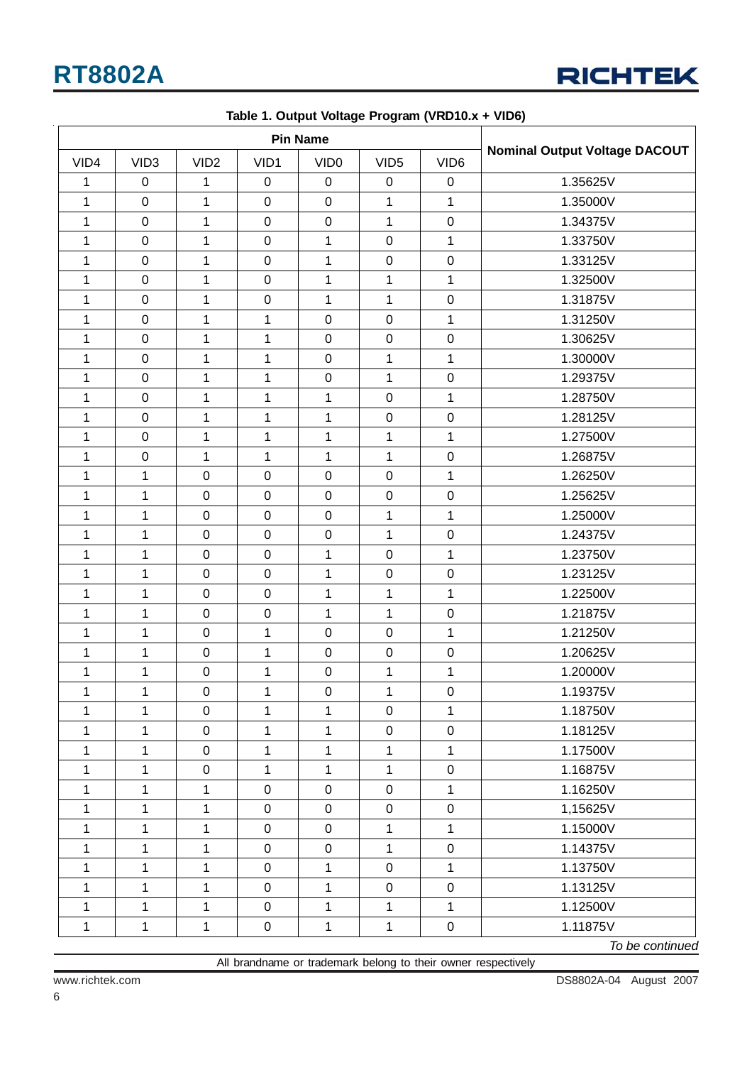

| <b>Pin Name</b> |                  |                  |                     |                  |                  |                  |                                      |
|-----------------|------------------|------------------|---------------------|------------------|------------------|------------------|--------------------------------------|
| VID4            | VID <sub>3</sub> | VID <sub>2</sub> | VID1                | VID <sub>0</sub> | VID <sub>5</sub> | VID <sub>6</sub> | <b>Nominal Output Voltage DACOUT</b> |
| 1               | $\boldsymbol{0}$ | 1                | $\mathbf 0$         | $\mathbf 0$      | 0                | $\pmb{0}$        | 1.35625V                             |
| 1               | $\mathbf 0$      | $\mathbf 1$      | $\pmb{0}$           | $\mathbf 0$      | $\mathbf{1}$     | 1                | 1.35000V                             |
| 1               | $\boldsymbol{0}$ | $\mathbf 1$      | $\pmb{0}$           | $\boldsymbol{0}$ | 1                | $\pmb{0}$        | 1.34375V                             |
| 1               | $\pmb{0}$        | 1                | $\pmb{0}$           | $\mathbf{1}$     | $\mathsf 0$      | $\mathbf{1}$     | 1.33750V                             |
| 1               | $\pmb{0}$        | 1                | $\pmb{0}$           | $\mathbf{1}$     | $\mathsf 0$      | $\pmb{0}$        | 1.33125V                             |
| 1               | $\mathbf 0$      | $\mathbf{1}$     | $\pmb{0}$           | $\mathbf{1}$     | $\mathbf 1$      | 1                | 1.32500V                             |
| 1               | $\boldsymbol{0}$ | 1                | $\pmb{0}$           | $\mathbf{1}$     | 1                | 0                | 1.31875V                             |
| 1               | $\mathbf 0$      | $\mathbf 1$      | $\mathbf{1}$        | $\pmb{0}$        | $\mathsf 0$      | $\mathbf{1}$     | 1.31250V                             |
| 1               | $\pmb{0}$        | $\mathbf 1$      | 1                   | $\pmb{0}$        | $\mathsf 0$      | $\pmb{0}$        | 1.30625V                             |
| 1               | $\pmb{0}$        | $\mathbf 1$      | 1                   | $\boldsymbol{0}$ | 1                | 1                | 1.30000V                             |
| 1               | $\mathsf 0$      | 1                | 1                   | $\pmb{0}$        | 1                | $\pmb{0}$        | 1.29375V                             |
| $\mathbf{1}$    | $\pmb{0}$        | $\mathbf{1}$     | $\mathbf 1$         | $\mathbf{1}$     | $\mathsf 0$      | $\mathbf{1}$     | 1.28750V                             |
| 1               | $\pmb{0}$        | $\mathbf 1$      | 1                   | $\mathbf{1}$     | $\mathsf 0$      | $\pmb{0}$        | 1.28125V                             |
| 1               | $\pmb{0}$        | 1                | $\mathbf{1}$        | $\mathbf{1}$     | $\mathbf{1}$     | $\mathbf{1}$     | 1.27500V                             |
| 1               | $\boldsymbol{0}$ | 1                | $\mathbf{1}$        | $\mathbf{1}$     | 1                | $\mathbf 0$      | 1.26875V                             |
| 1               | $\mathbf{1}$     | $\pmb{0}$        | $\pmb{0}$           | $\pmb{0}$        | $\mathsf 0$      | 1                | 1.26250V                             |
| 1               | 1                | $\pmb{0}$        | $\pmb{0}$           | $\boldsymbol{0}$ | $\mathsf 0$      | $\pmb{0}$        | 1.25625V                             |
| $\mathbf{1}$    | $\mathbf{1}$     | $\pmb{0}$        | $\pmb{0}$           | $\pmb{0}$        | 1                | 1                | 1.25000V                             |
| 1               | 1                | $\pmb{0}$        | $\pmb{0}$           | $\pmb{0}$        | $\mathbf{1}$     | $\pmb{0}$        | 1.24375V                             |
| 1               | $\mathbf{1}$     | $\pmb{0}$        | $\pmb{0}$           | $\mathbf{1}$     | $\mathsf 0$      | $\mathbf{1}$     | 1.23750V                             |
| 1               | 1                | $\mathbf 0$      | $\pmb{0}$           | $\mathbf{1}$     | $\mathsf 0$      | $\mathbf 0$      | 1.23125V                             |
| 1               | 1                | $\pmb{0}$        | $\mathsf 0$         | $\mathbf{1}$     | 1                | 1                | 1.22500V                             |
| 1               | $\mathbf{1}$     | $\mathsf 0$      | $\pmb{0}$           | $\mathbf{1}$     | $\mathbf{1}$     | $\pmb{0}$        | 1.21875V                             |
| 1               | $\mathbf 1$      | $\pmb{0}$        | $\mathbf 1$         | $\boldsymbol{0}$ | $\mathsf 0$      | $\mathbf 1$      | 1.21250V                             |
| 1               | 1                | $\pmb{0}$        | 1                   | $\pmb{0}$        | $\mathsf 0$      | $\pmb{0}$        | 1.20625V                             |
| 1               | $\mathbf 1$      | $\pmb{0}$        | $\mathbf 1$         | $\mathbf 0$      | $\mathbf{1}$     | 1                | 1.20000V                             |
| 1               | $\mathbf{1}$     | $\pmb{0}$        | 1                   | $\pmb{0}$        | 1                | $\boldsymbol{0}$ | 1.19375V                             |
| 1               | $\mathbf{1}$     | $\pmb{0}$        | $\mathbf{1}$        | $\mathbf{1}$     | $\boldsymbol{0}$ | $\mathbf{1}$     | 1.18750V                             |
| 1               | $\mathbf{1}$     | $\pmb{0}$        | $\mathbf{1}$        | $\mathbf{1}$     | $\boldsymbol{0}$ | $\pmb{0}$        | 1.18125V                             |
| $\mathbf{1}$    | $\mathbf{1}$     | $\pmb{0}$        | $\mathbf{1}$        | $\mathbf{1}$     | $\mathbf{1}$     | 1                | 1.17500V                             |
| 1               | $\mathbf{1}$     | $\pmb{0}$        | 1                   | $\mathbf{1}$     | $\mathbf{1}$     | $\pmb{0}$        | 1.16875V                             |
| 1               | $\mathbf{1}$     | 1                | $\pmb{0}$           | $\pmb{0}$        | $\mathbf 0$      | $\mathbf{1}$     | 1.16250V                             |
| 1               | $\mathbf{1}$     | 1                | $\mathbf 0$         | $\pmb{0}$        | $\boldsymbol{0}$ | $\pmb{0}$        | 1,15625V                             |
| 1               | $\mathbf{1}$     | 1                | $\mathsf 0$         | $\pmb{0}$        | $\mathbf{1}$     | 1                | 1.15000V                             |
| 1               | $\mathbf{1}$     | $\mathbf 1$      | $\mathsf 0$         | $\pmb{0}$        | $\mathbf{1}$     | $\pmb{0}$        | 1.14375V                             |
| $\mathbf{1}$    | $\mathbf{1}$     | 1                | $\mathsf{O}\xspace$ | $\mathbf{1}$     | $\pmb{0}$        | $\mathbf{1}$     | 1.13750V                             |
| 1               | $\mathbf{1}$     | $\mathbf 1$      | $\mathbf 0$         | $\mathbf{1}$     | $\boldsymbol{0}$ | $\pmb{0}$        | 1.13125V                             |
| 1               | $\mathbf{1}$     | 1                | $\mathbf 0$         | $\mathbf{1}$     | $\mathbf{1}$     | $\mathbf{1}$     | 1.12500V                             |
| 1               | $\mathbf{1}$     | $\mathbf 1$      | $\mathbf 0$         | $\mathbf{1}$     | $\mathbf 1$      | $\pmb{0}$        | 1.11875V                             |

|  |  | Table 1. Output Voltage Program (VRD10.x + VID6) |  |
|--|--|--------------------------------------------------|--|
|  |  |                                                  |  |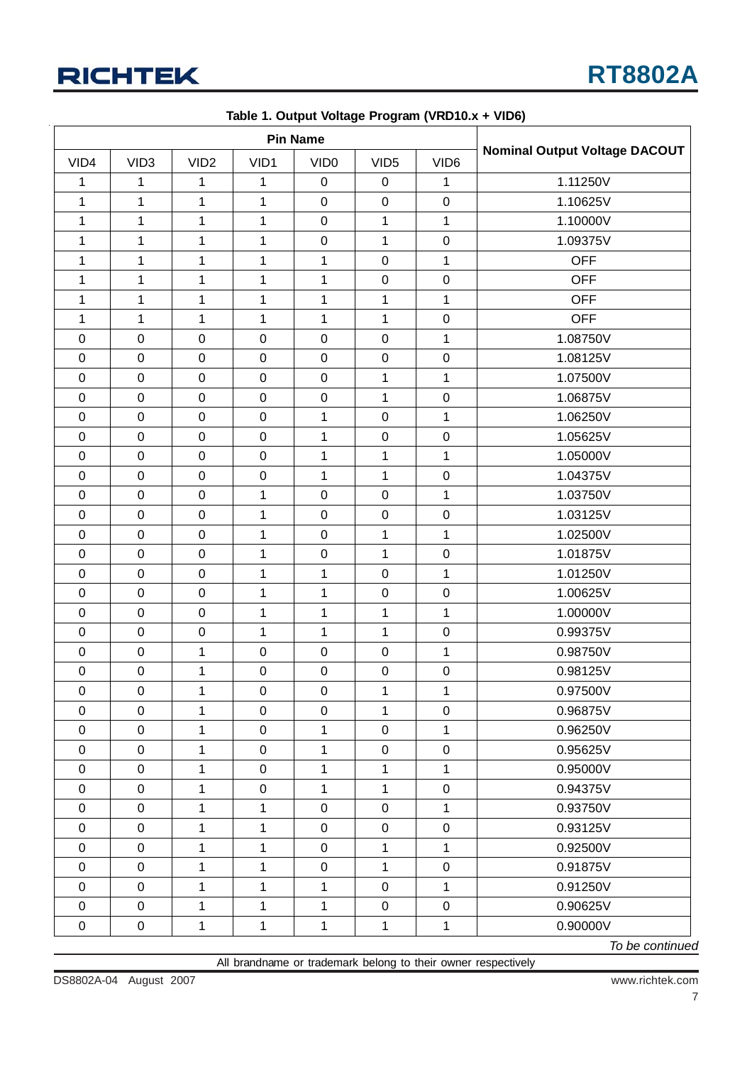

| <b>Pin Name</b>  |                  |                  |                  |                  |                  |                  |                                      |
|------------------|------------------|------------------|------------------|------------------|------------------|------------------|--------------------------------------|
| VID4             | VID <sub>3</sub> | VID <sub>2</sub> | VID1             | VID <sub>0</sub> | VID <sub>5</sub> | VID <sub>6</sub> | <b>Nominal Output Voltage DACOUT</b> |
| 1                | 1                | 1                | 1                | $\pmb{0}$        | $\mathbf 0$      | 1                | 1.11250V                             |
| 1                | $\mathbf 1$      | $\mathbf 1$      | $\mathbf{1}$     | $\mathbf 0$      | $\mathbf 0$      | $\pmb{0}$        | 1.10625V                             |
| $\mathbf{1}$     | $\mathbf 1$      | $\mathbf 1$      | $\mathbf{1}$     | $\pmb{0}$        | $\mathbf 1$      | $\mathbf{1}$     | 1.10000V                             |
| 1                | $\mathbf 1$      | 1                | $\mathbf 1$      | $\pmb{0}$        | 1                | $\mathbf 0$      | 1.09375V                             |
| 1                | 1                | 1                | $\mathbf 1$      | $\mathbf{1}$     | $\mathbf 0$      | 1                | <b>OFF</b>                           |
| 1                | $\mathbf 1$      | 1                | $\mathbf 1$      | $\mathbf{1}$     | $\pmb{0}$        | $\boldsymbol{0}$ | <b>OFF</b>                           |
| 1                | 1                | 1                | $\mathbf 1$      | $\mathbf{1}$     | 1                | 1                | <b>OFF</b>                           |
| 1                | $\mathbf 1$      | 1                | $\mathbf 1$      | $\mathbf{1}$     | $\mathbf{1}$     | $\mathbf 0$      | <b>OFF</b>                           |
| $\boldsymbol{0}$ | $\pmb{0}$        | $\pmb{0}$        | $\pmb{0}$        | $\pmb{0}$        | $\pmb{0}$        | 1                | 1.08750V                             |
| $\boldsymbol{0}$ | $\pmb{0}$        | $\mathbf 0$      | $\boldsymbol{0}$ | $\pmb{0}$        | $\pmb{0}$        | $\boldsymbol{0}$ | 1.08125V                             |
| $\boldsymbol{0}$ | $\mathsf 0$      | $\mathbf 0$      | $\mathbf 0$      | $\pmb{0}$        | 1                | 1                | 1.07500V                             |
| $\pmb{0}$        | $\pmb{0}$        | $\mathbf 0$      | $\pmb{0}$        | $\pmb{0}$        | 1                | $\mathbf 0$      | 1.06875V                             |
| $\pmb{0}$        | $\boldsymbol{0}$ | $\mathsf 0$      | $\mathbf 0$      | $\mathbf{1}$     | $\pmb{0}$        | $\mathbf{1}$     | 1.06250V                             |
| $\pmb{0}$        | $\mathbf 0$      | $\mathbf 0$      | $\pmb{0}$        | $\mathbf{1}$     | $\pmb{0}$        | $\boldsymbol{0}$ | 1.05625V                             |
| $\boldsymbol{0}$ | $\pmb{0}$        | $\pmb{0}$        | $\boldsymbol{0}$ | $\mathbf{1}$     | $\mathbf{1}$     | $\mathbf{1}$     | 1.05000V                             |
| $\boldsymbol{0}$ | $\mathbf 0$      | $\pmb{0}$        | $\pmb{0}$        | $\mathbf{1}$     | $\mathbf{1}$     | $\pmb{0}$        | 1.04375V                             |
| $\pmb{0}$        | $\boldsymbol{0}$ | $\mathbf 0$      | $\mathbf 1$      | $\pmb{0}$        | $\mathbf 0$      | 1                | 1.03750V                             |
| $\boldsymbol{0}$ | $\mathbf 0$      | $\mathbf 0$      | $\mathbf 1$      | $\pmb{0}$        | $\mathbf 0$      | $\mathbf 0$      | 1.03125V                             |
| $\boldsymbol{0}$ | $\mathbf 0$      | $\mathbf 0$      | $\mathbf 1$      | $\pmb{0}$        | $\mathbf{1}$     | $\mathbf{1}$     | 1.02500V                             |
| $\pmb{0}$        | $\mathbf 0$      | $\mathsf 0$      | $\mathbf 1$      | $\mathbf 0$      | $\mathbf{1}$     | $\boldsymbol{0}$ | 1.01875V                             |
| $\pmb{0}$        | $\mathbf 0$      | $\mathbf 0$      | $\mathbf 1$      | $\mathbf{1}$     | $\pmb{0}$        | $\mathbf{1}$     | 1.01250V                             |
| $\pmb{0}$        | $\mathbf 0$      | $\mathbf 0$      | $\mathbf 1$      | $\mathbf 1$      | $\pmb{0}$        | $\pmb{0}$        | 1.00625V                             |
| $\pmb{0}$        | $\mathbf 0$      | $\pmb{0}$        | $\mathbf 1$      | 1                | 1                | 1                | 1.00000V                             |
| $\mathbf 0$      | $\mathbf 0$      | $\mathbf 0$      | $\mathbf 1$      | $\mathbf{1}$     | 1                | $\boldsymbol{0}$ | 0.99375V                             |
| $\pmb{0}$        | $\mathbf 0$      | 1                | $\pmb{0}$        | $\pmb{0}$        | $\pmb{0}$        | $\mathbf{1}$     | 0.98750V                             |
| $\pmb{0}$        | $\mathbf 0$      | 1                | $\pmb{0}$        | $\mathbf 0$      | $\pmb{0}$        | $\boldsymbol{0}$ | 0.98125V                             |
| $\pmb{0}$        | $\pmb{0}$        | 1                | $\pmb{0}$        | $\pmb{0}$        | $\mathbf{1}$     | $\mathbf{1}$     | 0.97500V                             |
| $\mathbf 0$      | $\pmb{0}$        | $\mathbf 1$      | $\mathbf 0$      | $\pmb{0}$        | $\mathbf{1}$     | $\pmb{0}$        | 0.96875V                             |
| $\pmb{0}$        | $\pmb{0}$        | 1                | $\pmb{0}$        | 1                | $\mathbf 0$      | $\mathbf{1}$     | 0.96250V                             |
| $\pmb{0}$        | $\pmb{0}$        | 1                | $\pmb{0}$        | $\mathbf{1}$     | $\mathbf 0$      | $\pmb{0}$        | 0.95625V                             |
| $\pmb{0}$        | $\pmb{0}$        | 1                | $\pmb{0}$        | $\mathbf{1}$     | 1                | 1                | 0.95000V                             |
| $\pmb{0}$        | $\pmb{0}$        | 1                | $\boldsymbol{0}$ | $\mathbf{1}$     | $\mathbf{1}$     | $\pmb{0}$        | 0.94375V                             |
| $\pmb{0}$        | $\mathsf 0$      | $\mathbf 1$      | $\mathbf 1$      | $\pmb{0}$        | $\pmb{0}$        | $\mathbf 1$      | 0.93750V                             |
| $\pmb{0}$        | $\pmb{0}$        | 1                | $\mathbf{1}$     | $\pmb{0}$        | $\mathbf 0$      | $\pmb{0}$        | 0.93125V                             |
| $\pmb{0}$        | $\pmb{0}$        | $\mathbf 1$      | $\mathbf{1}$     | $\pmb{0}$        | 1                | $\mathbf{1}$     | 0.92500V                             |
| $\pmb{0}$        | $\pmb{0}$        | 1                | $\mathbf{1}$     | $\pmb{0}$        | $\mathbf{1}$     | $\pmb{0}$        | 0.91875V                             |
| $\pmb{0}$        | $\pmb{0}$        | 1                | 1                | $\mathbf{1}$     | $\mathbf 0$      | 1                | 0.91250V                             |
| $\boldsymbol{0}$ | $\pmb{0}$        | $\mathbf{1}$     | $\mathbf{1}$     | $\mathbf{1}$     | $\mathbf 0$      | $\pmb{0}$        | 0.90625V                             |
| $\pmb{0}$        | $\pmb{0}$        | $\mathbf{1}$     | $\mathbf 1$      | $\mathbf{1}$     | $\mathbf{1}$     | $\mathbf{1}$     | 0.90000V                             |

**Table 1. Output Voltage Program (VRD10.x + VID6)**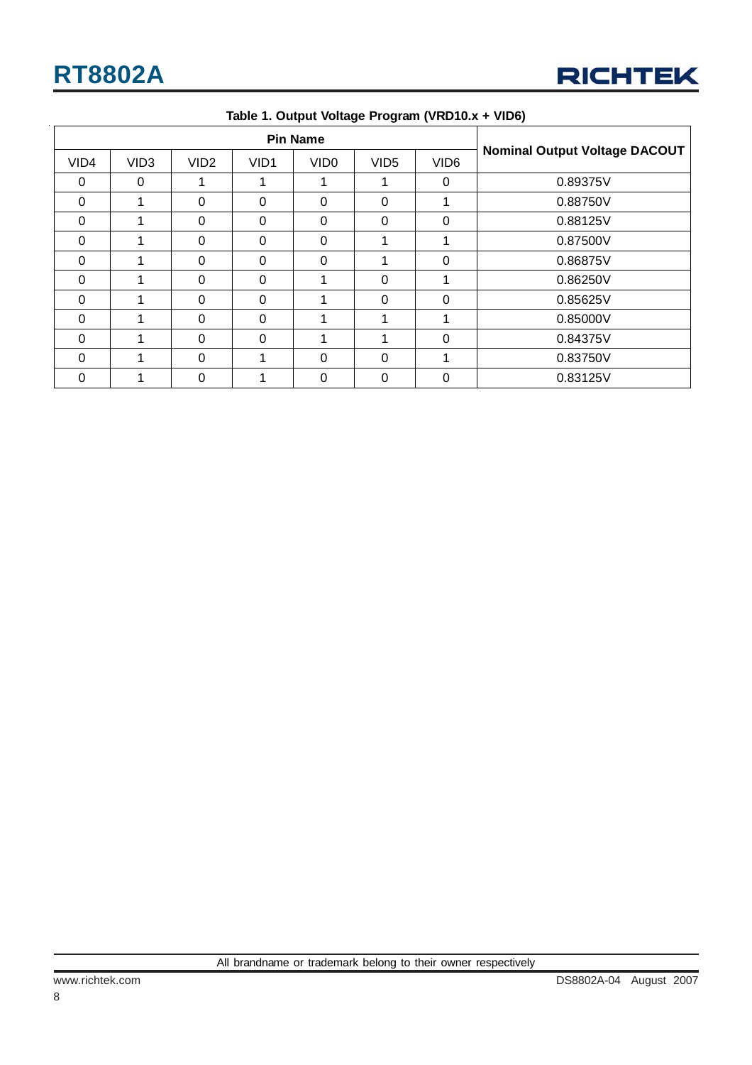

| <b>Pin Name</b> |                  |                  |                  |                  |                  |                  |                                      |
|-----------------|------------------|------------------|------------------|------------------|------------------|------------------|--------------------------------------|
| VID4            | VID <sub>3</sub> | VID <sub>2</sub> | VID <sub>1</sub> | VID <sub>0</sub> | VID <sub>5</sub> | VID <sub>6</sub> | <b>Nominal Output Voltage DACOUT</b> |
| $\Omega$        | 0                |                  | 1                |                  |                  | 0                | 0.89375V                             |
| 0               |                  | $\Omega$         | $\Omega$         | $\Omega$         | $\Omega$         | 1                | 0.88750V                             |
| 0               |                  | $\Omega$         | 0                | $\Omega$         | $\Omega$         | $\Omega$         | 0.88125V                             |
| $\Omega$        |                  | $\Omega$         | $\Omega$         | $\Omega$         |                  | 1                | 0.87500V                             |
| $\Omega$        |                  | $\Omega$         | $\Omega$         | $\Omega$         |                  | $\Omega$         | 0.86875V                             |
| $\Omega$        |                  | $\Omega$         | $\Omega$         |                  | $\Omega$         | 1                | 0.86250V                             |
| $\Omega$        |                  | $\Omega$         | $\Omega$         |                  | $\Omega$         | 0                | 0.85625V                             |
| $\Omega$        |                  | $\Omega$         | $\Omega$         |                  |                  | 1                | 0.85000V                             |
| $\Omega$        |                  | $\Omega$         | $\Omega$         |                  |                  | $\Omega$         | 0.84375V                             |
| $\Omega$        |                  | $\Omega$         | 1                | $\Omega$         | $\Omega$         | 1                | 0.83750V                             |
| $\Omega$        |                  | $\Omega$         | 1                | $\Omega$         | $\Omega$         | $\Omega$         | 0.83125V                             |

**Table 1. Output Voltage Program (VRD10.x + VID6)**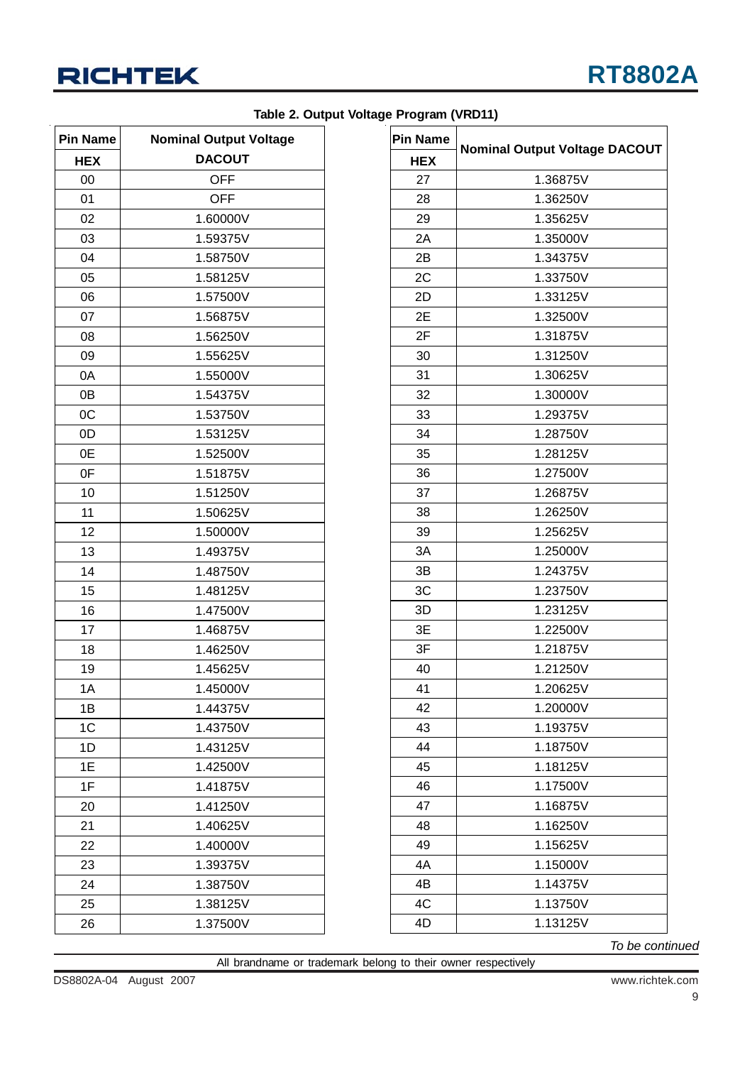

| <b>Pin Name</b> | <b>Nominal Output Voltage</b> |
|-----------------|-------------------------------|
| <b>HEX</b>      | <b>DACOUT</b>                 |
| 00              | <b>OFF</b>                    |
| 01              | <b>OFF</b>                    |
| 02              | 1.60000V                      |
| 03              | 1.59375V                      |
| 04              | 1.58750V                      |
| 05              | 1.58125V                      |
| 06              | 1.57500V                      |
| 07              | 1.56875V                      |
| 08              | 1.56250V                      |
| 09              | 1.55625V                      |
| 0A              | 1.55000V                      |
| 0B              | 1.54375V                      |
| 0C              | 1.53750V                      |
| 0D              | 1.53125V                      |
| 0E              | 1.52500V                      |
| 0F              | 1.51875V                      |
| 10              | 1.51250V                      |
| 11              | 1.50625V                      |
| 12              | 1.50000V                      |
| 13              | 1.49375V                      |
| 14              | 1.48750V                      |
| 15              | 1.48125V                      |
| 16              | 1.47500V                      |
| 17              | 1.46875V                      |
| 18              | 1.46250V                      |
| 19              | 1.45625V                      |
| 1A              | 1.45000V                      |
| 1B              | 1.44375V                      |
| 1C              | 1.43750V                      |
| 1D              | 1.43125V                      |
| 1E              | 1.42500V                      |
| 1F              | 1.41875V                      |
| 20              | 1.41250V                      |
| 21              | 1.40625V                      |
| 22              | 1.40000V                      |
| 23              | 1.39375V                      |
| 24              | 1.38750V                      |
| 25              | 1.38125V                      |
| 26              | 1.37500V                      |

### **Table 2. Output Voltage Program (VRD11)**

| <b>Pin Name</b> |                                      |
|-----------------|--------------------------------------|
| <b>HEX</b>      | <b>Nominal Output Voltage DACOUT</b> |
| 27              | 1.36875V                             |
| 28              | 1.36250V                             |
| 29              | 1.35625V                             |
| 2A              | 1.35000V                             |
| 2B              | 1.34375V                             |
| 2C              | 1.33750V                             |
| 2D              | 1.33125V                             |
| 2E              | 1.32500V                             |
| 2F              | 1.31875V                             |
| 30              | 1.31250V                             |
| 31              | 1.30625V                             |
| 32              | 1.30000V                             |
| 33              | 1.29375V                             |
| 34              | 1.28750V                             |
| 35              | 1.28125V                             |
| 36              | 1.27500V                             |
| 37              | 1.26875V                             |
| 38              | 1.26250V                             |
| 39              | 1.25625V                             |
| 3A              | 1.25000V                             |
| 3B              | 1.24375V                             |
| 3C              | 1.23750V                             |
| 3D              | 1.23125V                             |
| 3E              | 1.22500V                             |
| 3F              | 1.21875V                             |
| 40              | 1.21250V                             |
| 41              | 1.20625V                             |
| 42              | 1.20000V                             |
| 43              | 1.19375V                             |
| 44              | 1.18750V                             |
| 45              | 1.18125V                             |
| 46              | 1.17500V                             |
| 47              | 1.16875V                             |
| 48              | 1.16250V                             |
| 49              | 1.15625V                             |
| 4A              | 1.15000V                             |
| 4B              | 1.14375V                             |
| 4C              | 1.13750V                             |
| 4D              | 1.13125V                             |

*To be continued*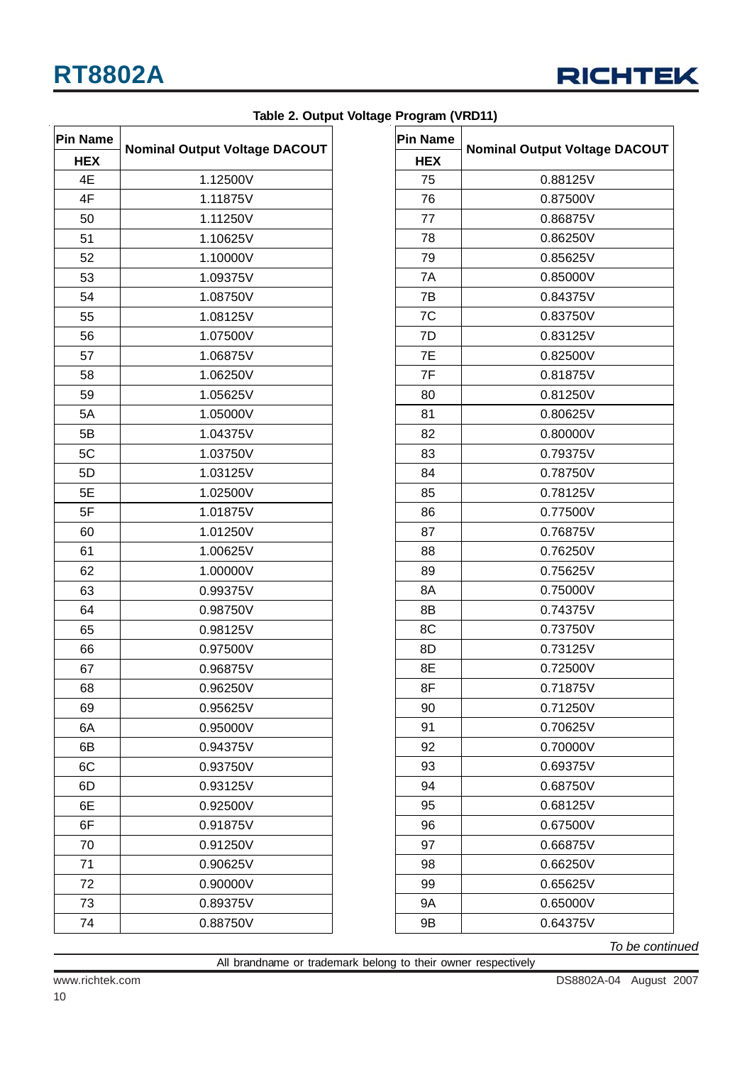

| Table 2. Output Voltage Program (VRD11) |  |  |  |
|-----------------------------------------|--|--|--|
|-----------------------------------------|--|--|--|

| <b>Pin Name</b> | <b>Nominal Output Voltage DACOUT</b> |
|-----------------|--------------------------------------|
| <b>HEX</b>      |                                      |
| 4E              | 1.12500V                             |
| 4F              | 1.11875V                             |
| 50              | 1.11250V                             |
| 51              | 1.10625V                             |
| 52              | 1.10000V                             |
| 53              | 1.09375V                             |
| 54              | 1.08750V                             |
| 55              | 1.08125V                             |
| 56              | 1.07500V                             |
| 57              | 1.06875V                             |
| 58              | 1.06250V                             |
| 59              | 1.05625V                             |
| 5A              | 1.05000V                             |
| 5B              | 1.04375V                             |
| 5C              | 1.03750V                             |
| 5D              | 1.03125V                             |
| 5E              | 1.02500V                             |
| 5F              | 1.01875V                             |
| 60              | 1.01250V                             |
| 61              | 1.00625V                             |
| 62              | 1.00000V                             |
| 63              | 0.99375V                             |
| 64              | 0.98750V                             |
| 65              | 0.98125V                             |
| 66              | 0.97500V                             |
| 67              | 0.96875V                             |
| 68              | 0.96250V                             |
| 69              | 0.95625V                             |
| 6A              | 0.95000V                             |
| 6B              | 0.94375V                             |
| 6C              | 0.93750V                             |
| 6D              | 0.93125V                             |
| 6E              | 0.92500V                             |
| 6F              | 0.91875V                             |
| 70              | 0.91250V                             |
| 71              | 0.90625V                             |
| 72              | 0.90000V                             |
| 73              | 0.89375V                             |
| 74              | 0.88750V                             |

| <b>Pin Name</b> |                                      |
|-----------------|--------------------------------------|
| <b>HEX</b>      | <b>Nominal Output Voltage DACOUT</b> |
| 75              | 0.88125V                             |
| 76              | 0.87500V                             |
| 77              | 0.86875V                             |
| 78              | 0.86250V                             |
| 79              | 0.85625V                             |
| 7A              | 0.85000V                             |
| 7B              | 0.84375V                             |
| 7C              | 0.83750V                             |
| 7D              | 0.83125V                             |
| 7E              | 0.82500V                             |
| 7F              | 0.81875V                             |
| 80              | 0.81250V                             |
| 81              | 0.80625V                             |
| 82              | 0.80000V                             |
| 83              | 0.79375V                             |
| 84              | 0.78750V                             |
| 85              | 0.78125V                             |
| 86              | 0.77500V                             |
| 87              | 0.76875V                             |
| 88              | 0.76250V                             |
| 89              | 0.75625V                             |
| 8A              | 0.75000V                             |
| 8B              | 0.74375V                             |
| 8C              | 0.73750V                             |
| 8D              | 0.73125V                             |
| 8E              | 0.72500V                             |
| 8F              | 0.71875V                             |
| 90              | 0.71250V                             |
| 91              | 0.70625V                             |
| 92              | 0.70000V                             |
| 93              | 0.69375V                             |
| 94              | 0.68750V                             |
| 95              | 0.68125V                             |
| 96              | 0.67500V                             |
| 97              | 0.66875V                             |
| 98              | 0.66250V                             |
| 99              | 0.65625V                             |
| <b>9A</b>       | 0.65000V                             |
| 9Β              | 0.64375V                             |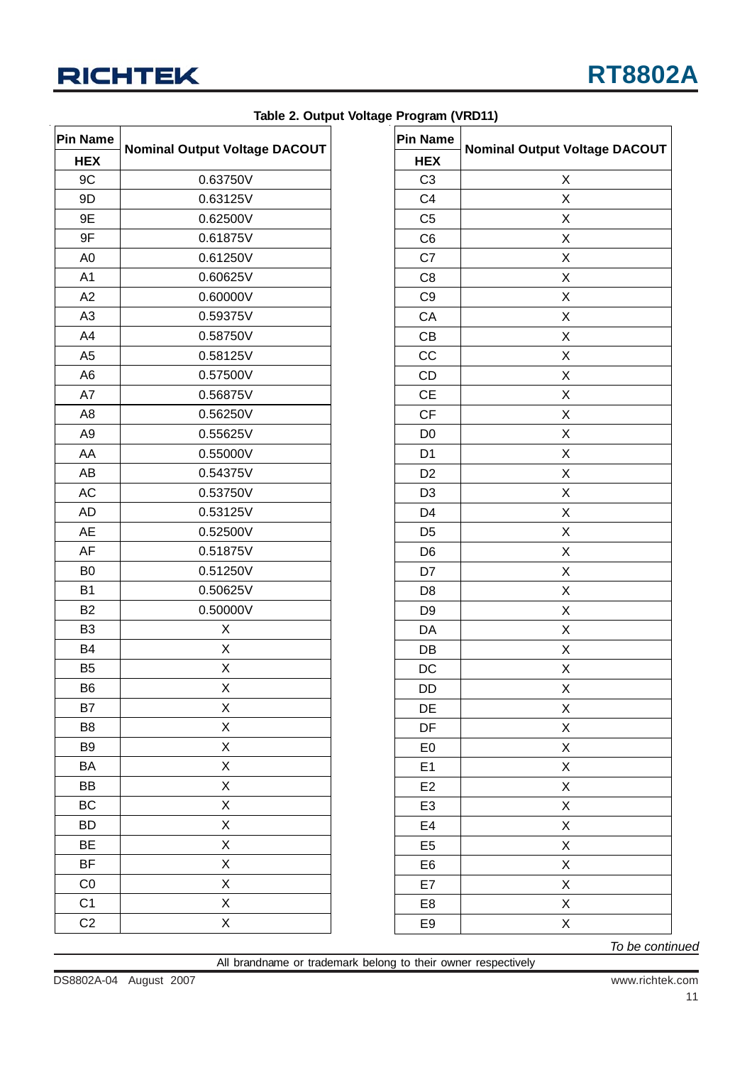

| <b>Pin Name</b> |                                      |
|-----------------|--------------------------------------|
| <b>HEX</b>      | <b>Nominal Output Voltage DACOUT</b> |
| 9C              | 0.63750V                             |
| 9D              | 0.63125V                             |
| 9Ε              | 0.62500V                             |
| 9F              | 0.61875V                             |
| A <sub>0</sub>  | 0.61250V                             |
| A1              | 0.60625V                             |
| A2              | 0.60000V                             |
| A3              | 0.59375V                             |
| A4              | 0.58750V                             |
| A <sub>5</sub>  | 0.58125V                             |
| A <sub>6</sub>  | 0.57500V                             |
| A7              | 0.56875V                             |
| A <sub>8</sub>  | 0.56250V                             |
| A <sub>9</sub>  | 0.55625V                             |
| AA              | 0.55000V                             |
| AB              | 0.54375V                             |
| <b>AC</b>       | 0.53750V                             |
| <b>AD</b>       | 0.53125V                             |
| AE              | 0.52500V                             |
| AF              | 0.51875V                             |
| B <sub>0</sub>  | 0.51250V                             |
| B <sub>1</sub>  | 0.50625V                             |
| B <sub>2</sub>  | 0.50000V                             |
| B <sub>3</sub>  | X                                    |
| <b>B4</b>       | X                                    |
| B <sub>5</sub>  | X                                    |
| B <sub>6</sub>  | Χ                                    |
| B7              | Χ                                    |
| B <sub>8</sub>  | X                                    |
| B <sub>9</sub>  | X                                    |
| BA              | X                                    |
| BB              | X                                    |
| <b>BC</b>       | Χ                                    |
| <b>BD</b>       | X                                    |
| ΒE              | Χ                                    |
| BF              | X                                    |
| C <sub>0</sub>  | Χ                                    |
| C <sub>1</sub>  | X                                    |
| C <sub>2</sub>  | X                                    |

|  |  |  | Table 2. Output Voltage Program (VRD11) |  |
|--|--|--|-----------------------------------------|--|
|--|--|--|-----------------------------------------|--|

| <b>Pin Name</b> | <b>Nominal Output Voltage DACOUT</b> |  |  |  |  |
|-----------------|--------------------------------------|--|--|--|--|
| <b>HEX</b>      |                                      |  |  |  |  |
| C <sub>3</sub>  | Χ                                    |  |  |  |  |
| C <sub>4</sub>  | X                                    |  |  |  |  |
| C <sub>5</sub>  | Χ                                    |  |  |  |  |
| C <sub>6</sub>  | X                                    |  |  |  |  |
| C7              | Χ                                    |  |  |  |  |
| C <sub>8</sub>  | Χ                                    |  |  |  |  |
| C <sub>9</sub>  | X                                    |  |  |  |  |
| CA              | Χ                                    |  |  |  |  |
| CB              | Χ                                    |  |  |  |  |
| CC              | Χ                                    |  |  |  |  |
| CD              | X                                    |  |  |  |  |
| <b>CE</b>       | Χ                                    |  |  |  |  |
| CF              | Χ                                    |  |  |  |  |
| D <sub>0</sub>  | Χ                                    |  |  |  |  |
| D <sub>1</sub>  | Χ                                    |  |  |  |  |
| D <sub>2</sub>  | Χ                                    |  |  |  |  |
| D <sub>3</sub>  | Χ                                    |  |  |  |  |
| D4              | Χ                                    |  |  |  |  |
| D <sub>5</sub>  | X                                    |  |  |  |  |
| D <sub>6</sub>  | Χ                                    |  |  |  |  |
| D7              | X                                    |  |  |  |  |
| D <sub>8</sub>  | Χ                                    |  |  |  |  |
| D <sub>9</sub>  | Χ                                    |  |  |  |  |
| DA              | X                                    |  |  |  |  |
| DB              | Χ                                    |  |  |  |  |
| DC              | Χ                                    |  |  |  |  |
| DD              | Χ                                    |  |  |  |  |
| DE              | X                                    |  |  |  |  |
| DF              | X                                    |  |  |  |  |
| E <sub>0</sub>  | X                                    |  |  |  |  |
| E <sub>1</sub>  | X                                    |  |  |  |  |
| E <sub>2</sub>  | X                                    |  |  |  |  |
| E <sub>3</sub>  | X                                    |  |  |  |  |
| E4              | X                                    |  |  |  |  |
| E <sub>5</sub>  | X                                    |  |  |  |  |
| E6              | X                                    |  |  |  |  |
| E7              | X                                    |  |  |  |  |
| E8              | X                                    |  |  |  |  |
| E9              | X                                    |  |  |  |  |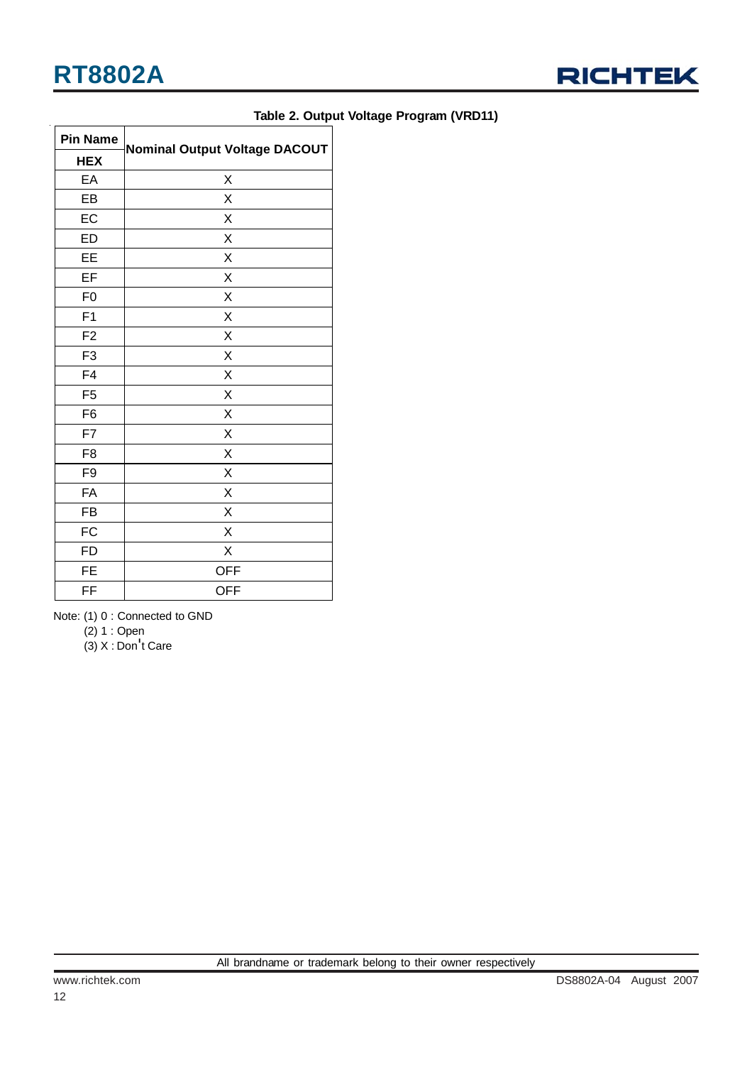

| Table 2. Output Voltage Program (VRD11) |  |  |  |
|-----------------------------------------|--|--|--|
|-----------------------------------------|--|--|--|

| <b>Pin Name</b> |                                      |
|-----------------|--------------------------------------|
| <b>HEX</b>      | <b>Nominal Output Voltage DACOUT</b> |
| EA              | Χ                                    |
| EB              | Χ                                    |
| EC              | Χ                                    |
| <b>ED</b>       | X                                    |
| EE              | Χ                                    |
| EF              | X                                    |
| F <sub>0</sub>  | X                                    |
| F <sub>1</sub>  | Χ                                    |
| F <sub>2</sub>  | X                                    |
| F <sub>3</sub>  | Χ                                    |
| F4              | X                                    |
| F <sub>5</sub>  | X                                    |
| F <sub>6</sub>  | Χ                                    |
| F7              | X                                    |
| F <sub>8</sub>  | Χ                                    |
| F9              | Χ                                    |
| FA              | Χ                                    |
| FB              | X                                    |
| FC              | X                                    |
| <b>FD</b>       | Χ                                    |
| <b>FE</b>       | <b>OFF</b>                           |
| FF              | <b>OFF</b>                           |

Note: (1) 0 : Connected to GND

(2) 1 : Open

(3) X : Don't Care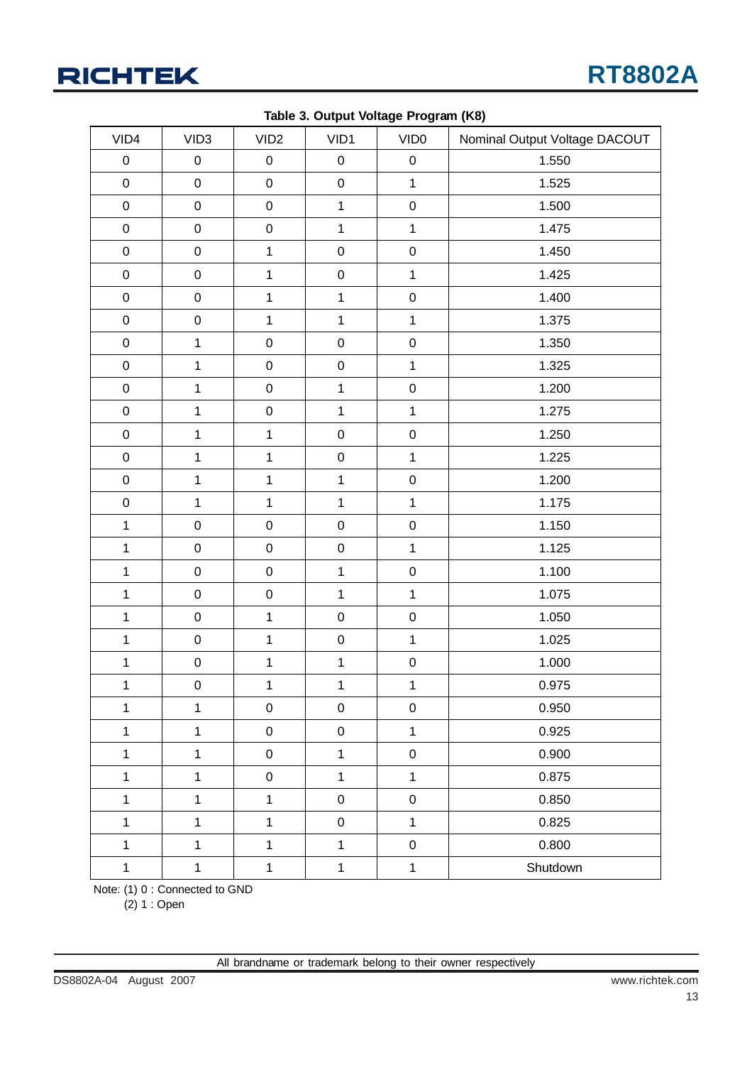## **RICHTEK**

|                  |                     |                  | . as is on sail of the compact of the contract of the contract of the contract of the contract of the contract o |                  |                               |
|------------------|---------------------|------------------|------------------------------------------------------------------------------------------------------------------|------------------|-------------------------------|
| VID4             | VID <sub>3</sub>    | VID <sub>2</sub> | VID1                                                                                                             | VID <sub>0</sub> | Nominal Output Voltage DACOUT |
| $\pmb{0}$        | 0                   | $\pmb{0}$        | $\pmb{0}$                                                                                                        | $\pmb{0}$        | 1.550                         |
| $\boldsymbol{0}$ | $\mathsf 0$         | $\pmb{0}$        | $\pmb{0}$                                                                                                        | $\mathbf{1}$     | 1.525                         |
| $\pmb{0}$        | $\mathbf 0$         | $\mathbf 0$      | $\mathbf{1}$                                                                                                     | $\mathbf 0$      | 1.500                         |
| $\pmb{0}$        | $\mathbf 0$         | $\pmb{0}$        | $\mathbf{1}$                                                                                                     | $\mathbf{1}$     | 1.475                         |
| $\pmb{0}$        | $\pmb{0}$           | $\mathbf{1}$     | $\mathbf 0$                                                                                                      | $\mathbf 0$      | 1.450                         |
| $\pmb{0}$        | $\pmb{0}$           | $\mathbf{1}$     | $\pmb{0}$                                                                                                        | $\mathbf{1}$     | 1.425                         |
| $\pmb{0}$        | $\mathbf 0$         | $\mathbf{1}$     | $\mathbf{1}$                                                                                                     | $\mathbf 0$      | 1.400                         |
| $\pmb{0}$        | $\mathbf 0$         | $\mathbf{1}$     | $\mathbf{1}$                                                                                                     | $\mathbf{1}$     | 1.375                         |
| $\pmb{0}$        | $\mathbf{1}$        | $\mathbf 0$      | $\mathbf 0$                                                                                                      | $\mathbf 0$      | 1.350                         |
| $\pmb{0}$        | $\mathbf{1}$        | $\mathsf 0$      | $\mathbf 0$                                                                                                      | $\mathbf{1}$     | 1.325                         |
| $\pmb{0}$        | $\mathbf{1}$        | $\mathbf 0$      | $\mathbf{1}$                                                                                                     | $\mathbf 0$      | 1.200                         |
| $\pmb{0}$        | $\mathbf{1}$        | $\mathbf 0$      | $\mathbf{1}$                                                                                                     | $\mathbf{1}$     | 1.275                         |
| $\pmb{0}$        | $\mathbf{1}$        | $\mathbf{1}$     | $\mathbf 0$                                                                                                      | $\mathbf 0$      | 1.250                         |
| $\pmb{0}$        | $\mathbf{1}$        | $\mathbf 1$      | $\mathsf 0$                                                                                                      | $\overline{1}$   | 1.225                         |
| $\pmb{0}$        | $\mathbf{1}$        | $\mathbf{1}$     | $\mathbf{1}$                                                                                                     | $\mathbf 0$      | 1.200                         |
| $\pmb{0}$        | $\mathbf{1}$        | $\mathbf 1$      | $\mathbf{1}$                                                                                                     | $\overline{1}$   | 1.175                         |
| $\mathbf 1$      | $\mathbf 0$         | $\mathbf 0$      | $\mathbf 0$                                                                                                      | $\mathbf 0$      | 1.150                         |
| $\mathbf{1}$     | $\mathbf 0$         | $\mathbf 0$      | $\mathbf 0$                                                                                                      | $\overline{1}$   | 1.125                         |
| $\mathbf{1}$     | $\mathbf 0$         | $\mathbf 0$      | $\mathbf{1}$                                                                                                     | $\mathbf 0$      | 1.100                         |
| $\mathbf{1}$     | $\mathbf 0$         | $\mathbf 0$      | $\mathbf{1}$                                                                                                     | $\overline{1}$   | 1.075                         |
| $\mathbf 1$      | $\mathsf{O}\xspace$ | $\mathbf{1}$     | $\mathbf 0$                                                                                                      | $\mathsf 0$      | 1.050                         |
| $\mathbf{1}$     | $\mathbf 0$         | $\mathbf 1$      | $\mathbf 0$                                                                                                      | $\mathbf{1}$     | 1.025                         |
| $\mathbf 1$      | $\mathsf 0$         | $\mathbf 1$      | $\mathbf{1}$                                                                                                     | $\mathbf 0$      | 1.000                         |
| $\mathbf{1}$     | $\pmb{0}$           | $\mathbf 1$      | $\mathbf{1}$                                                                                                     | $\mathbf{1}$     | 0.975                         |
| $\mathbf{1}$     | $\mathbf{1}$        | $\pmb{0}$        | $\pmb{0}$                                                                                                        | $\mathsf 0$      | 0.950                         |
| $\mathbf{1}$     | $\mathbf{1}$        | $\pmb{0}$        | $\mathbf 0$                                                                                                      | $\mathbf{1}$     | 0.925                         |
| $\mathbf{1}$     | $\mathbf{1}$        | $\pmb{0}$        | $\mathbf{1}$                                                                                                     | $\mathsf 0$      | 0.900                         |
| $\mathbf{1}$     | $\mathbf{1}$        | $\mathbf 0$      | $\mathbf{1}$                                                                                                     | $\overline{1}$   | 0.875                         |
| $\mathbf{1}$     | $\mathbf{1}$        | $\mathbf{1}$     | $\pmb{0}$                                                                                                        | $\mathbf 0$      | 0.850                         |
| $\mathbf{1}$     | $\mathbf 1$         | 1                | $\mathbf 0$                                                                                                      | $\mathbf{1}$     | 0.825                         |
| $\mathbf{1}$     | $\mathbf{1}$        | $\mathbf{1}$     | $\mathbf{1}$                                                                                                     | $\pmb{0}$        | 0.800                         |
| $\mathbf 1$      | $\mathbf{1}$        | $\mathbf 1$      | $\mathbf 1$                                                                                                      | $\mathbf{1}$     | Shutdown                      |

**Table 3. Output Voltage Program (K8)**

Note: (1) 0 : Connected to GND

(2) 1 : Open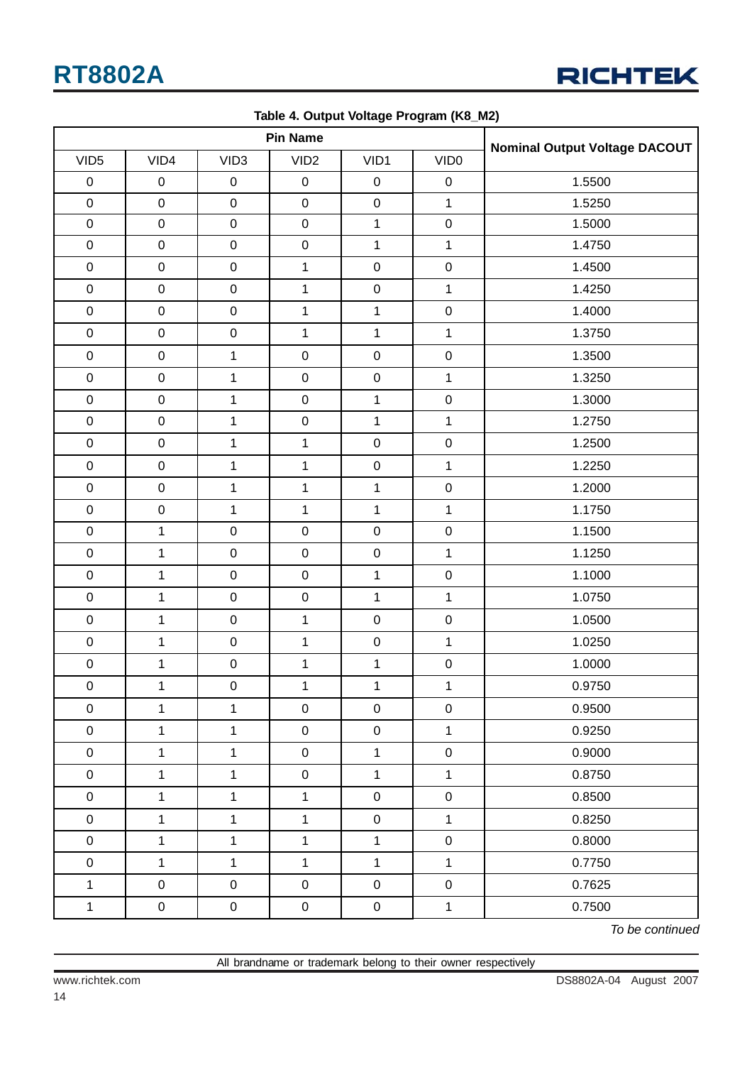| <b>Pin Name</b>  |              |                  |                  |              |                  | <b>Nominal Output Voltage DACOUT</b> |  |
|------------------|--------------|------------------|------------------|--------------|------------------|--------------------------------------|--|
| VID <sub>5</sub> | VID4         | VID <sub>3</sub> | VID <sub>2</sub> | VID1         | VID <sub>0</sub> |                                      |  |
| $\pmb{0}$        | $\pmb{0}$    | $\boldsymbol{0}$ | $\mathbf 0$      | $\pmb{0}$    | $\pmb{0}$        | 1.5500                               |  |
| $\pmb{0}$        | $\mathbf 0$  | $\pmb{0}$        | $\mathbf 0$      | $\mathbf 0$  | $\mathbf{1}$     | 1.5250                               |  |
| $\mathbf 0$      | $\pmb{0}$    | $\pmb{0}$        | $\mathbf 0$      | $\mathbf{1}$ | $\pmb{0}$        | 1.5000                               |  |
| $\mathsf 0$      | $\mathbf 0$  | $\pmb{0}$        | $\mathbf 0$      | $\mathbf{1}$ | $\mathbf{1}$     | 1.4750                               |  |
| $\pmb{0}$        | $\pmb{0}$    | $\pmb{0}$        | $\mathbf{1}$     | $\pmb{0}$    | $\pmb{0}$        | 1.4500                               |  |
| $\mathbf 0$      | $\mathbf 0$  | $\pmb{0}$        | $\mathbf{1}$     | $\mathbf 0$  | $\mathbf{1}$     | 1.4250                               |  |
| $\mathbf 0$      | $\pmb{0}$    | $\pmb{0}$        | $\mathbf{1}$     | 1            | $\pmb{0}$        | 1.4000                               |  |
| $\mathbf 0$      | $\mathbf 0$  | $\mathbf 0$      | $\mathbf{1}$     | $\mathbf{1}$ | $\mathbf 1$      | 1.3750                               |  |
| $\pmb{0}$        | $\mathbf 0$  | $\mathbf{1}$     | $\mathbf 0$      | $\mathbf 0$  | $\pmb{0}$        | 1.3500                               |  |
| $\mathsf 0$      | $\mathbf 0$  | $\mathbf{1}$     | $\mathbf 0$      | $\mathbf 0$  | $\mathbf{1}$     | 1.3250                               |  |
| $\mathsf 0$      | $\mathbf 0$  | $\mathbf{1}$     | $\mathbf 0$      | $\mathbf{1}$ | $\pmb{0}$        | 1.3000                               |  |
| $\mathbf 0$      | $\pmb{0}$    | $\mathbf{1}$     | $\mathbf 0$      | $\mathbf{1}$ | $\mathbf{1}$     | 1.2750                               |  |
| $\mathsf 0$      | $\mathbf 0$  | $\mathbf{1}$     | $\mathbf{1}$     | $\mathbf 0$  | $\pmb{0}$        | 1.2500                               |  |
| $\mathsf 0$      | $\mathbf 0$  | $\mathbf{1}$     | $\mathbf{1}$     | $\mathbf 0$  | $\mathbf{1}$     | 1.2250                               |  |
| $\mathsf 0$      | $\mathbf 0$  | $\mathbf{1}$     | $\mathbf{1}$     | $\mathbf 1$  | $\mathbf 0$      | 1.2000                               |  |
| $\mathsf 0$      | $\mathsf 0$  | $\mathbf{1}$     | $\mathbf{1}$     | $\mathbf{1}$ | $\mathbf{1}$     | 1.1750                               |  |
| $\mathbf 0$      | $\mathbf{1}$ | $\pmb{0}$        | $\mathbf 0$      | $\mathbf 0$  | $\pmb{0}$        | 1.1500                               |  |
| $\mathbf 0$      | $\mathbf{1}$ | $\pmb{0}$        | $\pmb{0}$        | $\mathbf 0$  | $\mathbf{1}$     | 1.1250                               |  |
| $\mathbf 0$      | $\mathbf{1}$ | $\pmb{0}$        | $\pmb{0}$        | $\mathbf{1}$ | $\pmb{0}$        | 1.1000                               |  |
| $\mathbf 0$      | $\mathbf{1}$ | $\pmb{0}$        | $\mathbf 0$      | $\mathbf{1}$ | $\mathbf{1}$     | 1.0750                               |  |
| $\mathbf 0$      | $\mathbf{1}$ | $\mathsf 0$      | $\mathbf{1}$     | $\mathbf 0$  | $\pmb{0}$        | 1.0500                               |  |
| $\mathbf 0$      | $\mathbf{1}$ | $\pmb{0}$        | $\mathbf{1}$     | $\pmb{0}$    | $\mathbf{1}$     | 1.0250                               |  |
| ${\bf 0}$        | $\mathbf{1}$ | $\mathbf 0$      | $\mathbf{1}$     | $\mathbf{1}$ | $\pmb{0}$        | 1.0000                               |  |
| $\pmb{0}$        | $\mathbf{1}$ | $\pmb{0}$        | $\mathbf{1}$     | $\mathbf{1}$ | $\mathbf{1}$     | 0.9750                               |  |
| $\pmb{0}$        | $\mathbf{1}$ | $\mathbf{1}$     | $\pmb{0}$        | $\pmb{0}$    | $\pmb{0}$        | 0.9500                               |  |
| $\pmb{0}$        | $\mathbf{1}$ | $\mathbf{1}$     | $\mathbf 0$      | $\mathbf 0$  | $\mathbf{1}$     | 0.9250                               |  |
| $\pmb{0}$        | $\mathbf{1}$ | $\mathbf{1}$     | $\pmb{0}$        | $\mathbf{1}$ | $\mathsf 0$      | 0.9000                               |  |
| $\pmb{0}$        | $\mathbf{1}$ | $\mathbf{1}$     | $\mathbf 0$      | $\mathbf{1}$ | $\mathbf{1}$     | 0.8750                               |  |
| $\pmb{0}$        | $\mathbf{1}$ | $\mathbf{1}$     | $\mathbf{1}$     | $\mathbf 0$  | $\pmb{0}$        | 0.8500                               |  |
| $\pmb{0}$        | $\mathbf{1}$ | $\mathbf{1}$     | $\mathbf{1}$     | $\pmb{0}$    | $\mathbf{1}$     | 0.8250                               |  |
| $\pmb{0}$        | $\mathbf{1}$ | $\mathbf{1}$     | $\mathbf{1}$     | $\mathbf{1}$ | $\pmb{0}$        | 0.8000                               |  |
| $\pmb{0}$        | $\mathbf{1}$ | $\mathbf{1}$     | $\mathbf{1}$     | $\mathbf{1}$ | $\mathbf{1}$     | 0.7750                               |  |
| $\mathbf{1}$     | $\pmb{0}$    | $\boldsymbol{0}$ | $\pmb{0}$        | $\pmb{0}$    | $\pmb{0}$        | 0.7625                               |  |
| $\mathbf 1$      | $\mathbf 0$  | $\mathbf 0$      | $\mathsf 0$      | $\mathbf 0$  | $\mathbf 1$      | 0.7500                               |  |

**Table 4. Output Voltage Program (K8\_M2)**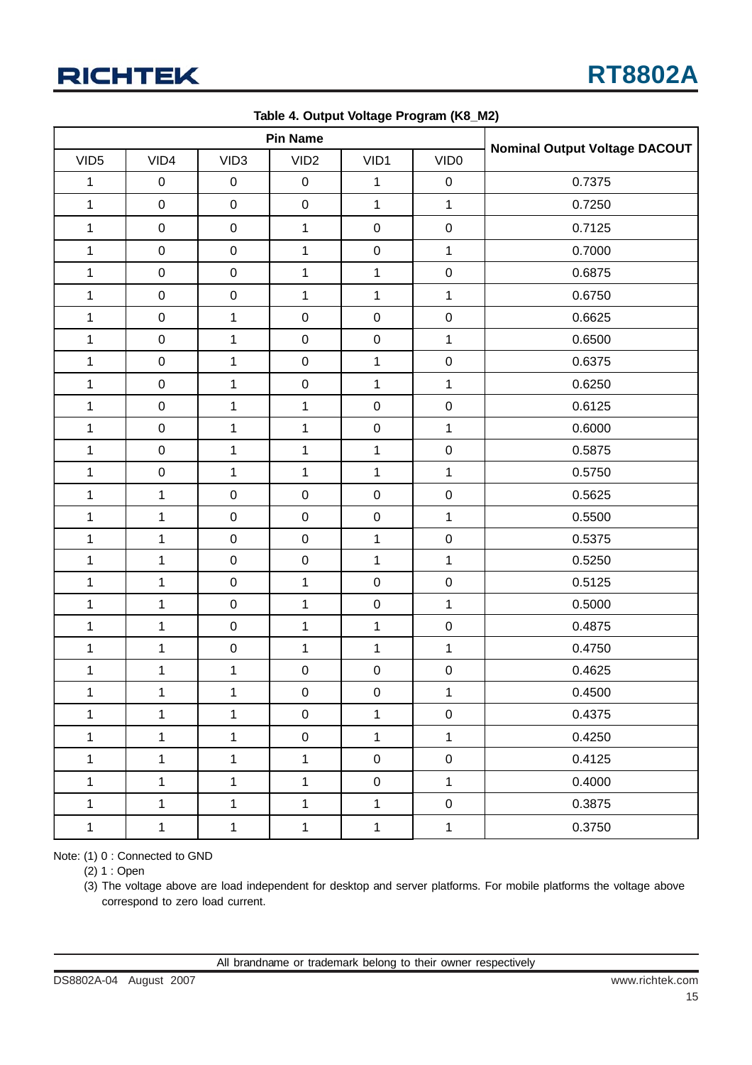

| <b>Pin Name</b>  |              |                  |                     |                     |                  |                                      |
|------------------|--------------|------------------|---------------------|---------------------|------------------|--------------------------------------|
| VID <sub>5</sub> | VID4         | VID <sub>3</sub> | VID <sub>2</sub>    | VID1                | VID <sub>0</sub> | <b>Nominal Output Voltage DACOUT</b> |
| $\mathbf{1}$     | $\mathbf 0$  | $\mathbf 0$      | $\pmb{0}$           | 1                   | $\mathbf 0$      | 0.7375                               |
| $\mathbf{1}$     | $\mathbf 0$  | $\mathbf 0$      | $\pmb{0}$           | $\mathbf{1}$        | $\mathbf{1}$     | 0.7250                               |
| $\mathbf{1}$     | $\mathbf 0$  | $\mathbf 0$      | $\mathbf{1}$        | $\pmb{0}$           | $\mathbf 0$      | 0.7125                               |
| $\mathbf{1}$     | $\mathbf 0$  | $\mathbf 0$      | $\mathbf{1}$        | $\pmb{0}$           | $\mathbf{1}$     | 0.7000                               |
| $\mathbf{1}$     | $\mathbf 0$  | $\mathbf 0$      | $\mathbf{1}$        | $\mathbf{1}$        | $\mathbf 0$      | 0.6875                               |
| $\mathbf{1}$     | $\mathbf 0$  | $\mathbf 0$      | $\mathbf{1}$        | $\mathbf{1}$        | $\mathbf{1}$     | 0.6750                               |
| $\mathbf{1}$     | $\mathbf 0$  | $\mathbf{1}$     | $\mathbf 0$         | $\pmb{0}$           | $\mathbf 0$      | 0.6625                               |
| $\mathbf{1}$     | $\pmb{0}$    | $\mathbf 1$      | $\pmb{0}$           | $\pmb{0}$           | $\mathbf{1}$     | 0.6500                               |
| $\mathbf{1}$     | $\pmb{0}$    | $\mathbf 1$      | $\pmb{0}$           | $\mathbf 1$         | $\mathbf 0$      | 0.6375                               |
| $\mathbf{1}$     | $\mathbf 0$  | $\mathbf 1$      | $\pmb{0}$           | $\mathbf 1$         | $\mathbf{1}$     | 0.6250                               |
| $\mathbf{1}$     | $\mathbf 0$  | $\mathbf{1}$     | $\mathbf{1}$        | $\pmb{0}$           | $\mathbf 0$      | 0.6125                               |
| $\mathbf{1}$     | $\mathbf 0$  | $\mathbf{1}$     | $\mathbf{1}$        | $\pmb{0}$           | $\mathbf{1}$     | 0.6000                               |
| $\mathbf 1$      | $\mathbf 0$  | $\mathbf 1$      | $\mathbf{1}$        | $\mathbf 1$         | $\mathbf 0$      | 0.5875                               |
| $\mathbf{1}$     | $\mathbf 0$  | $\mathbf 1$      | $\mathbf{1}$        | $\mathbf 1$         | $\mathbf{1}$     | 0.5750                               |
| $\mathbf{1}$     | $\mathbf 1$  | $\mathbf 0$      | $\mathbf 0$         | $\pmb{0}$           | $\pmb{0}$        | 0.5625                               |
| $\mathbf{1}$     | $\mathbf{1}$ | $\pmb{0}$        | $\mathbf 0$         | $\pmb{0}$           | $\mathbf{1}$     | 0.5500                               |
| $\mathbf{1}$     | $\mathbf{1}$ | $\mathbf 0$      | $\mathbf 0$         | $\mathbf{1}$        | $\mathbf 0$      | 0.5375                               |
| $\mathbf{1}$     | $\mathbf 1$  | $\pmb{0}$        | $\mathbf 0$         | $\mathbf{1}$        | $\mathbf{1}$     | 0.5250                               |
| $\mathbf{1}$     | $\mathbf{1}$ | $\pmb{0}$        | $\mathbf{1}$        | $\pmb{0}$           | $\pmb{0}$        | 0.5125                               |
| $\mathbf{1}$     | $\mathbf{1}$ | $\pmb{0}$        | $\mathbf{1}$        | $\pmb{0}$           | $\mathbf{1}$     | 0.5000                               |
| $\mathbf{1}$     | $\mathbf{1}$ | $\mathbf 0$      | $\mathbf{1}$        | $\mathbf 1$         | $\mathbf 0$      | 0.4875                               |
| $\mathbf{1}$     | $\mathbf{1}$ | $\mathbf 0$      | $\mathbf{1}$        | $\mathbf{1}$        | $\mathbf{1}$     | 0.4750                               |
| $\mathbf 1$      | 1            | $\mathbf 1$      | $\mathbf 0$         | $\pmb{0}$           | $\pmb{0}$        | 0.4625                               |
| $\mathbf{1}$     | $\mathbf{1}$ | $\mathbf 1$      | $\mathsf 0$         | $\mathsf{O}\xspace$ | $\mathbf{1}$     | 0.4500                               |
| $\mathbf{1}$     | $\mathbf{1}$ | $\mathbf{1}$     | $\mathsf{O}\xspace$ | $\mathbf{1}$        | $\pmb{0}$        | 0.4375                               |
| $\mathbf 1$      | $\mathbf{1}$ | $\mathbf{1}$     | $\boldsymbol{0}$    | $\mathbf{1}$        | $\mathbf{1}$     | 0.4250                               |
| $\mathbf 1$      | $\mathbf{1}$ | $\mathbf{1}$     | $\mathbf{1}$        | $\pmb{0}$           | $\pmb{0}$        | 0.4125                               |
| $\mathbf 1$      | $\mathbf{1}$ | $\mathbf{1}$     | $\mathbf{1}$        | $\mathbf 0$         | $\mathbf{1}$     | 0.4000                               |
| $\mathbf 1$      | $\mathbf{1}$ | $\mathbf{1}$     | $\mathbf{1}$        | $\mathbf{1}$        | $\mathbf 0$      | 0.3875                               |
| $\mathbf 1$      | $\mathbf{1}$ | $\mathbf 1$      | $\mathbf 1$         | $\mathbf{1}$        | $\mathbf 1$      | 0.3750                               |

**Table 4. Output Voltage Program (K8\_M2)**

Note: (1) 0 : Connected to GND

(2) 1 : Open

(3) The voltage above are load independent for desktop and server platforms. For mobile platforms the voltage above correspond to zero load current.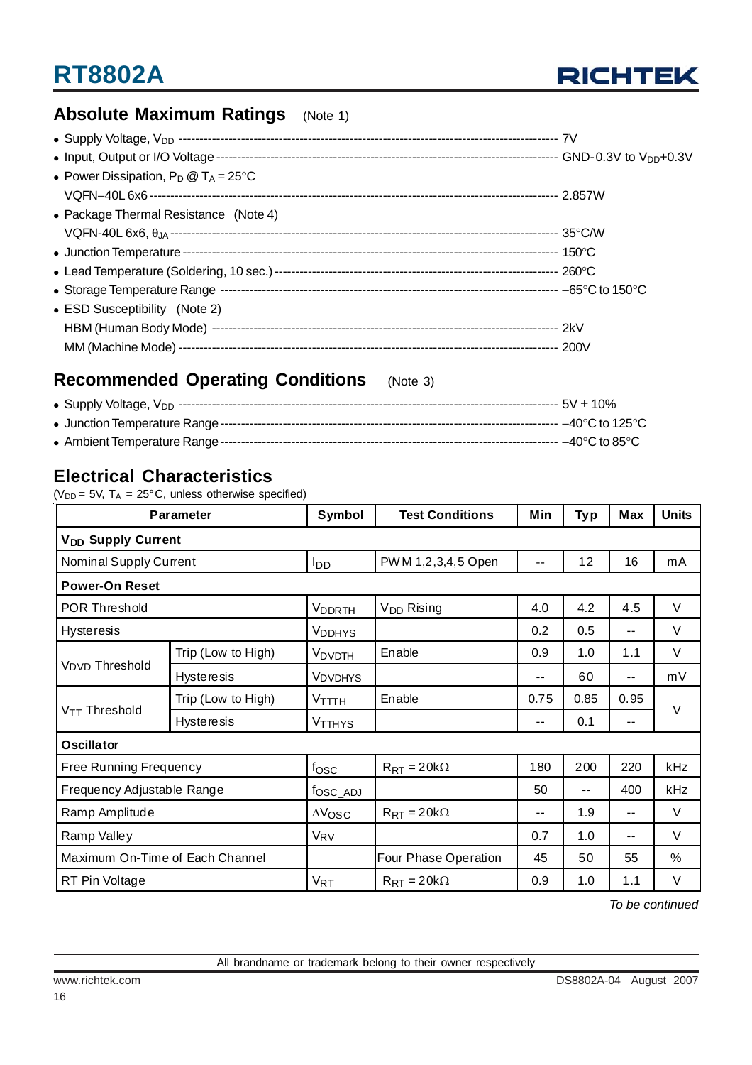

### **Absolute Maximum Ratings** (Note 1)

| • Power Dissipation, $P_D @ T_A = 25^{\circ}C$ |  |
|------------------------------------------------|--|
|                                                |  |
| • Package Thermal Resistance (Note 4)          |  |
|                                                |  |
|                                                |  |
|                                                |  |
|                                                |  |
| • ESD Susceptibility (Note 2)                  |  |
|                                                |  |
|                                                |  |

### **Recommended Operating Conditions** (Note 3)

### **Electrical Characteristics**

( $V_{DD}$  = 5V,  $T_A$  = 25°C, unless otherwise specified)

| Parameter                            |                    | Symbol               | <b>Test Conditions</b>      | Min   | <b>Typ</b> | Max   | <b>Units</b> |  |
|--------------------------------------|--------------------|----------------------|-----------------------------|-------|------------|-------|--------------|--|
| <b>V<sub>DD</sub></b> Supply Current |                    |                      |                             |       |            |       |              |  |
| Nominal Supply Current               |                    | l <sub>DD</sub>      | PWM 1,2,3,4,5 Open          |       | 12         | 16    | mA           |  |
| <b>Power-On Reset</b>                |                    |                      |                             |       |            |       |              |  |
| POR Threshold                        |                    | <b>VDDRTH</b>        | V <sub>DD</sub> Rising      | 4.0   | 4.2        | 4.5   | $\vee$       |  |
| <b>Hysteresis</b>                    |                    | <b>VDDHYS</b>        |                             | 0.2   | 0.5        | $- -$ | V            |  |
|                                      | Trip (Low to High) | V <sub>DVDTH</sub>   | Enable                      | 0.9   | 1.0        | 1.1   | V            |  |
| V <sub>DVD</sub> Threshold           | <b>Hysteresis</b>  | <b>VDVDHYS</b>       |                             | $-$   | 60         | $-$   | mV           |  |
|                                      | Trip (Low to High) | $V$ TTTH             | Enable                      | 0.75  | 0.85       | 0.95  |              |  |
| $V_{TT}$ Threshold                   | <b>Hysteresis</b>  | <b>VTTHYS</b>        |                             | $- -$ | 0.1        | $-$   | V            |  |
| <b>Oscillator</b>                    |                    |                      |                             |       |            |       |              |  |
| Free Running Frequency               |                    | fosc                 | $R_{\text{RT}} = 20k\Omega$ | 180   | 200        | 220   | kHz          |  |
| Frequency Adjustable Range           |                    | fosc_ADJ             |                             | 50    | $- -$      | 400   | kHz          |  |
| Ramp Amplitude                       |                    | $\Delta V_{\rm OSC}$ | $R_{RT} = 20k\Omega$        | $-$   | 1.9        | $- -$ | V            |  |
| Ramp Valley                          |                    | VRV                  |                             | 0.7   | 1.0        | $-$   | $\vee$       |  |
| Maximum On-Time of Each Channel      |                    |                      | Four Phase Operation        | 45    | 50         | 55    | %            |  |
| RT Pin Voltage                       |                    | $V_{RT}$             | $R_{\text{RT}} = 20k\Omega$ | 0.9   | 1.0        | 1.1   | V            |  |

*To be continued*

16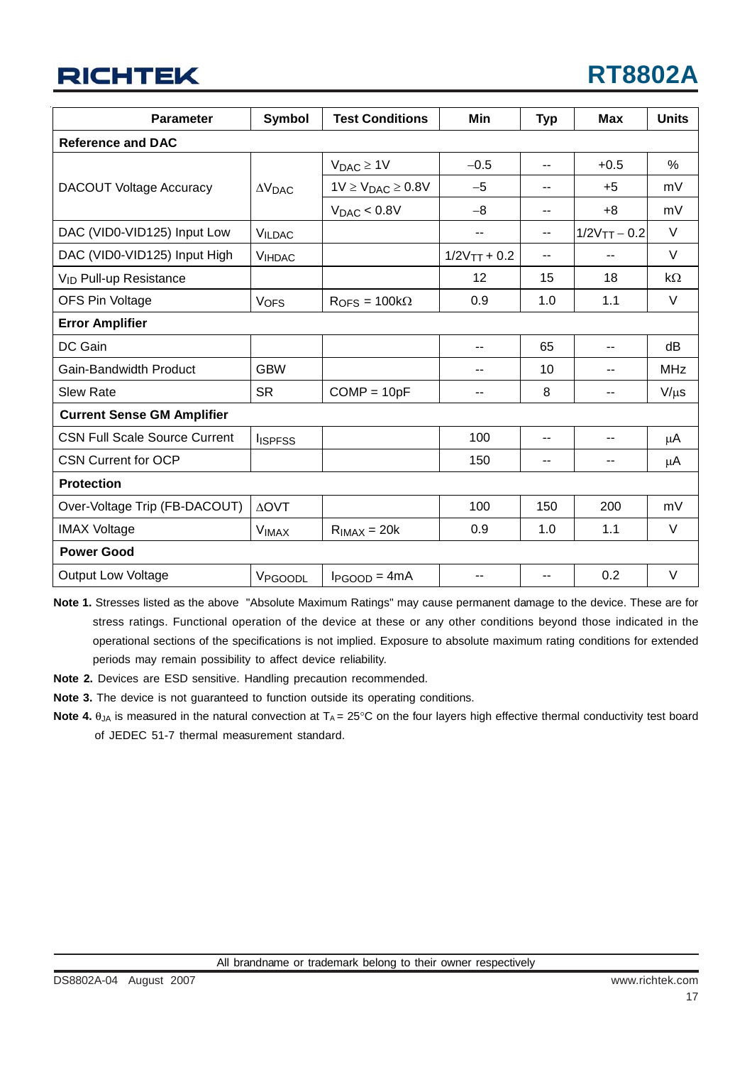## **RICHTEK**

| <b>Parameter</b>                     | <b>Symbol</b>           | <b>Test Conditions</b>                | Min                        | <b>Typ</b>     | <b>Max</b>                   | <b>Units</b> |
|--------------------------------------|-------------------------|---------------------------------------|----------------------------|----------------|------------------------------|--------------|
| <b>Reference and DAC</b>             |                         |                                       |                            |                |                              |              |
|                                      |                         | $V_{DAC} \geq 1V$                     | $-0.5$                     | $-$            | $+0.5$                       | $\%$         |
| <b>DACOUT Voltage Accuracy</b>       | $\Delta V_{\text{DAC}}$ | $1V \ge V_{DAC} \ge 0.8V$             | $-5$                       | --             | $+5$                         | mV           |
|                                      |                         | $V_{DAC} < 0.8V$                      | $-8$                       | $-$            | $+8$                         | mV           |
| DAC (VID0-VID125) Input Low          | <b>VILDAC</b>           |                                       | $\overline{\phantom{a}}$   | $\overline{a}$ | $1/2V$ <sub>TT</sub> $- 0.2$ | $\vee$       |
| DAC (VID0-VID125) Input High         | <b>VIHDAC</b>           |                                       | $1/2V$ <sub>TT</sub> + 0.2 | $\overline{a}$ | $-$                          | $\vee$       |
| V <sub>ID</sub> Pull-up Resistance   |                         |                                       | 12                         | 15             | 18                           | $k\Omega$    |
| OFS Pin Voltage                      | <b>VOFS</b>             | $R_{\text{OFS}} = 100 \text{k}\Omega$ | 0.9                        | 1.0            | 1.1                          | V            |
| <b>Error Amplifier</b>               |                         |                                       |                            |                |                              |              |
| DC Gain                              |                         |                                       | $\overline{a}$             | 65             | --                           | dB           |
| Gain-Bandwidth Product               | <b>GBW</b>              |                                       | $-$                        | 10             | --                           | <b>MHz</b>   |
| <b>Slew Rate</b>                     | <b>SR</b>               | $COMP = 10pF$                         | $-$                        | 8              | --                           | $V/\mu s$    |
| <b>Current Sense GM Amplifier</b>    |                         |                                       |                            |                |                              |              |
| <b>CSN Full Scale Source Current</b> | <b>I</b> ISPFSS         |                                       | 100                        | $\overline{a}$ | --                           | μA           |
| <b>CSN Current for OCP</b>           |                         |                                       | 150                        | $-$            | $-$                          | μA           |
| <b>Protection</b>                    |                         |                                       |                            |                |                              |              |
| Over-Voltage Trip (FB-DACOUT)        | <b>AOVT</b>             |                                       | 100                        | 150            | 200                          | mV           |
| <b>IMAX Voltage</b>                  | <b>VIMAX</b>            | $RIMAX = 20k$                         | 0.9                        | 1.0            | 1.1                          | $\vee$       |
| <b>Power Good</b>                    |                         |                                       |                            |                |                              |              |
| <b>Output Low Voltage</b>            | VPGOODL                 | $I_{PGOOD} = 4mA$                     | --                         |                | 0.2                          | $\vee$       |

**Note 1.** Stresses listed as the above "Absolute Maximum Ratings" may cause permanent damage to the device. These are for stress ratings. Functional operation of the device at these or any other conditions beyond those indicated in the operational sections of the specifications is not implied. Exposure to absolute maximum rating conditions for extended periods may remain possibility to affect device reliability.

**Note 2.** Devices are ESD sensitive. Handling precaution recommended.

**Note 3.** The device is not guaranteed to function outside its operating conditions.

**Note 4.**  $\theta_{JA}$  is measured in the natural convection at  $TA = 25^{\circ}C$  on the four layers high effective thermal conductivity test board of JEDEC 51-7 thermal measurement standard.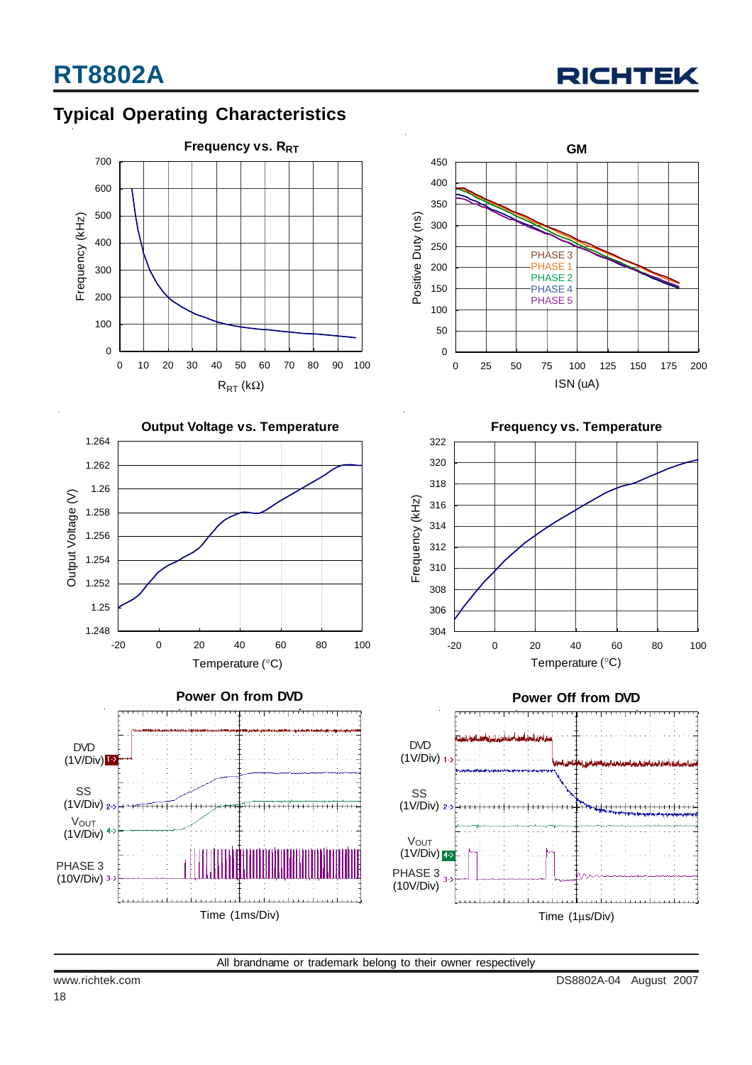## **Typical Operating Characteristics**

![](_page_17_Figure_3.jpeg)

![](_page_17_Figure_4.jpeg)

![](_page_17_Figure_5.jpeg)

![](_page_17_Figure_6.jpeg)

![](_page_17_Figure_7.jpeg)

![](_page_17_Figure_8.jpeg)

![](_page_17_Figure_9.jpeg)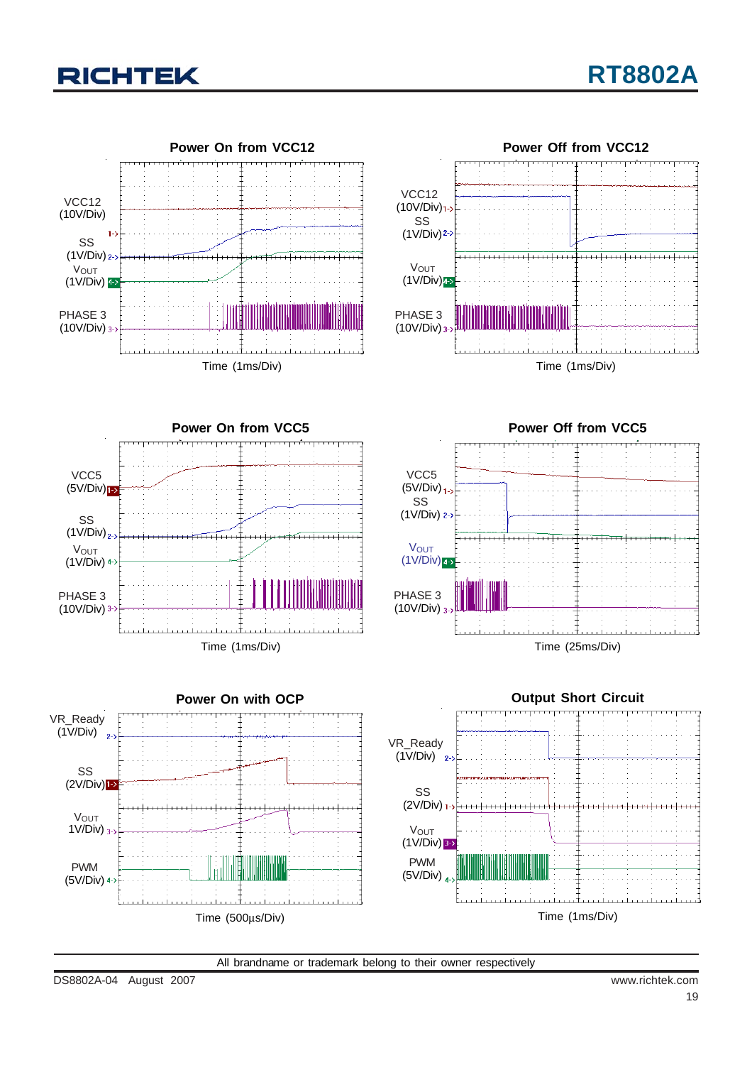![](_page_18_Picture_0.jpeg)

![](_page_18_Figure_2.jpeg)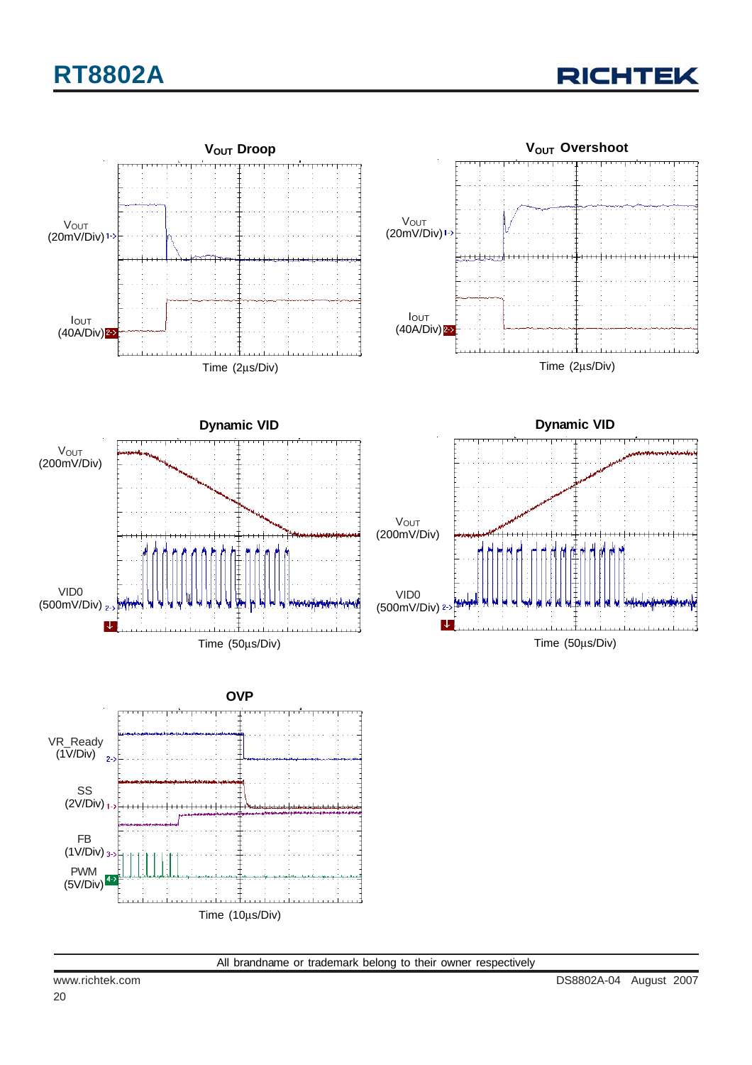# **RT8802A**

**RICHTEK** 

![](_page_19_Figure_2.jpeg)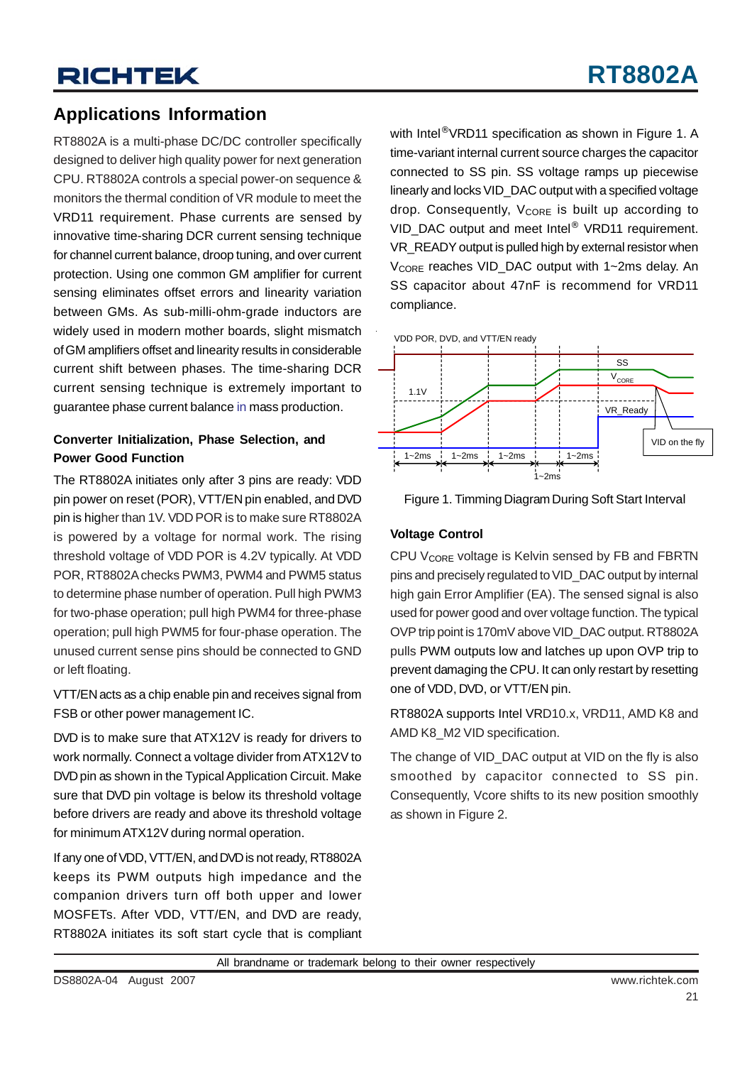### **Applications Information**

RT8802A is a multi-phase DC/DC controller specifically designed to deliver high quality power for next generation CPU. RT8802A controls a special power-on sequence & monitors the thermal condition of VR module to meet the VRD11 requirement. Phase currents are sensed by innovative time-sharing DCR current sensing technique for channel current balance, droop tuning, and over current protection. Using one common GM amplifier for current sensing eliminates offset errors and linearity variation between GMs. As sub-milli-ohm-grade inductors are widely used in modern mother boards, slight mismatch of GM amplifiers offset and linearity results in considerable current shift between phases. The time-sharing DCR current sensing technique is extremely important to guarantee phase current balance in mass production.

### **Converter Initialization, Phase Selection, and Power Good Function**

The RT8802A initiates only after 3 pins are ready: VDD pin power on reset (POR), VTT/EN pin enabled, and DVD pin is higher than 1V. VDD POR is to make sure RT8802A is powered by a voltage for normal work. The rising threshold voltage of VDD POR is 4.2V typically. At VDD POR, RT8802A checks PWM3, PWM4 and PWM5 status to determine phase number of operation. Pull high PWM3 for two-phase operation; pull high PWM4 for three-phase operation; pull high PWM5 for four-phase operation. The unused current sense pins should be connected to GND or left floating.

VTT/EN acts as a chip enable pin and receives signal from FSB or other power management IC.

DVD is to make sure that ATX12V is ready for drivers to work normally. Connect a voltage divider from ATX12V to DVD pin as shown in the Typical Application Circuit. Make sure that DVD pin voltage is below its threshold voltage before drivers are ready and above its threshold voltage for minimum ATX12V during normal operation.

If any one of VDD, VTT/EN, and DVD is not ready, RT8802A keeps its PWM outputs high impedance and the companion drivers turn off both upper and lower MOSFETs. After VDD, VTT/EN, and DVD are ready, RT8802A initiates its soft start cycle that is compliant with Intel<sup>®</sup> VRD11 specification as shown in Figure 1. A time-variant internal current source charges the capacitor connected to SS pin. SS voltage ramps up piecewise linearly and locks VID DAC output with a specified voltage drop. Consequently,  $V_{\text{CORE}}$  is built up according to VID DAC output and meet Intel<sup>®</sup> VRD11 requirement. VR\_READY output is pulled high by external resistor when V<sub>CORE</sub> reaches VID\_DAC output with 1~2ms delay. An SS capacitor about 47nF is recommend for VRD11 compliance.

![](_page_20_Figure_10.jpeg)

![](_page_20_Figure_11.jpeg)

### **Voltage Control**

CPU V<sub>CORE</sub> voltage is Kelvin sensed by FB and FBRTN pins and precisely regulated to VID\_DAC output by internal high gain Error Amplifier (EA). The sensed signal is also used for power good and over voltage function. The typical OVP trip point is 170mV above VID\_DAC output. RT8802A pulls PWM outputs low and latches up upon OVP trip to prevent damaging the CPU. It can only restart by resetting one of VDD, DVD, or VTT/EN pin.

RT8802A supports Intel VRD10.x, VRD11, AMD K8 and AMD K8\_M2 VID specification.

The change of VID\_DAC output at VID on the fly is also smoothed by capacitor connected to SS pin. Consequently, Vcore shifts to its new position smoothly as shown in Figure 2.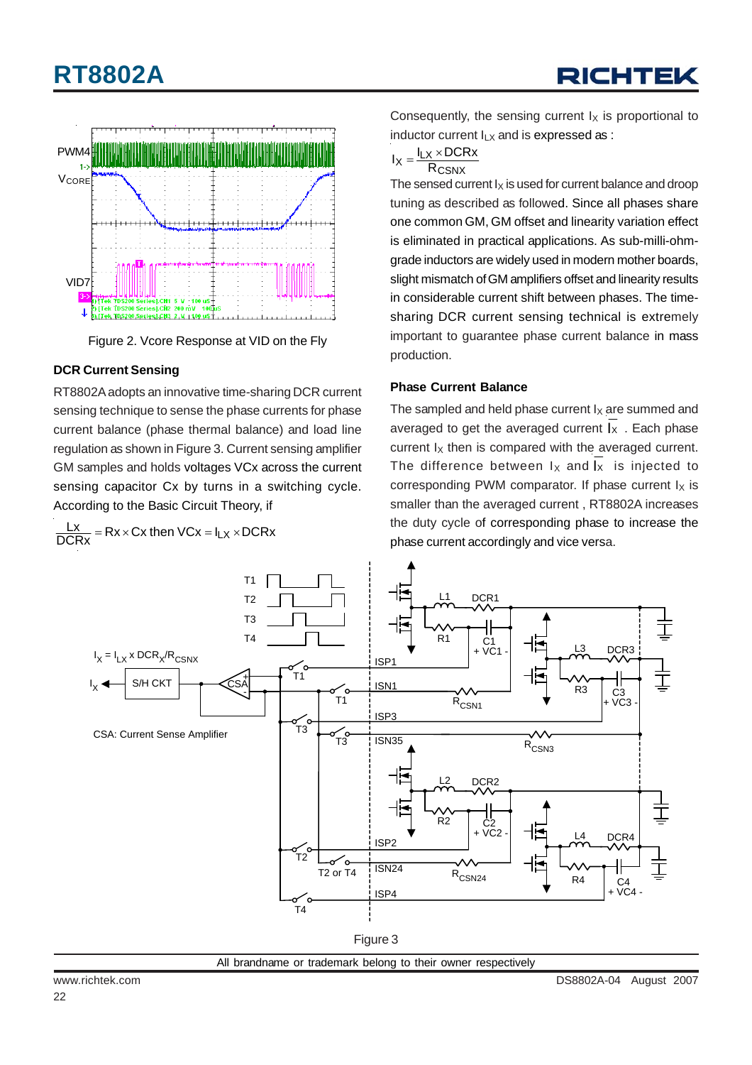# **RT8802A**

![](_page_21_Figure_2.jpeg)

![](_page_21_Figure_3.jpeg)

### **DCR Current Sensing**

RT8802A adopts an innovative time-sharing DCR current sensing technique to sense the phase currents for phase current balance (phase thermal balance) and load line regulation as shown in Figure 3. Current sensing amplifier GM samples and holds voltages VCx across the current sensing capacitor Cx by turns in a switching cycle. According to the Basic Circuit Theory, if

 $\frac{\mathsf{L} \mathsf{x}}{\mathsf{DCRx}}$  = Rx × Cx then VCx =  $\mathsf{l}_{\mathsf{L} \mathsf{X}}$  × DCRx

Consequently, the sensing current  $I_X$  is proportional to inductor current  $I_{LX}$  and is expressed as :

$$
I_X = \frac{I_{LX} \times DCRx}{R_{CSNX}}
$$

The sensed current  $I_X$  is used for current balance and droop tuning as described as followed. Since all phases share one common GM, GM offset and linearity variation effect is eliminated in practical applications. As sub-milli-ohmgrade inductors are widely used in modern mother boards, slight mismatch of GM amplifiers offset and linearity results in considerable current shift between phases. The timesharing DCR current sensing technical is extremely important to guarantee phase current balance in mass production.

### **Phase Current Balance**

The sampled and held phase current  $I_X$  are summed and averaged to get the averaged current  $I_x$ . Each phase current  $I_X$  then is compared with the averaged current. The difference between  $I_X$  and  $I_X$  is injected to corresponding PWM comparator. If phase current  $I_X$  is smaller than the averaged current , RT8802A increases the duty cycle of corresponding phase to increase the phase current accordingly and vice versa.

![](_page_21_Figure_12.jpeg)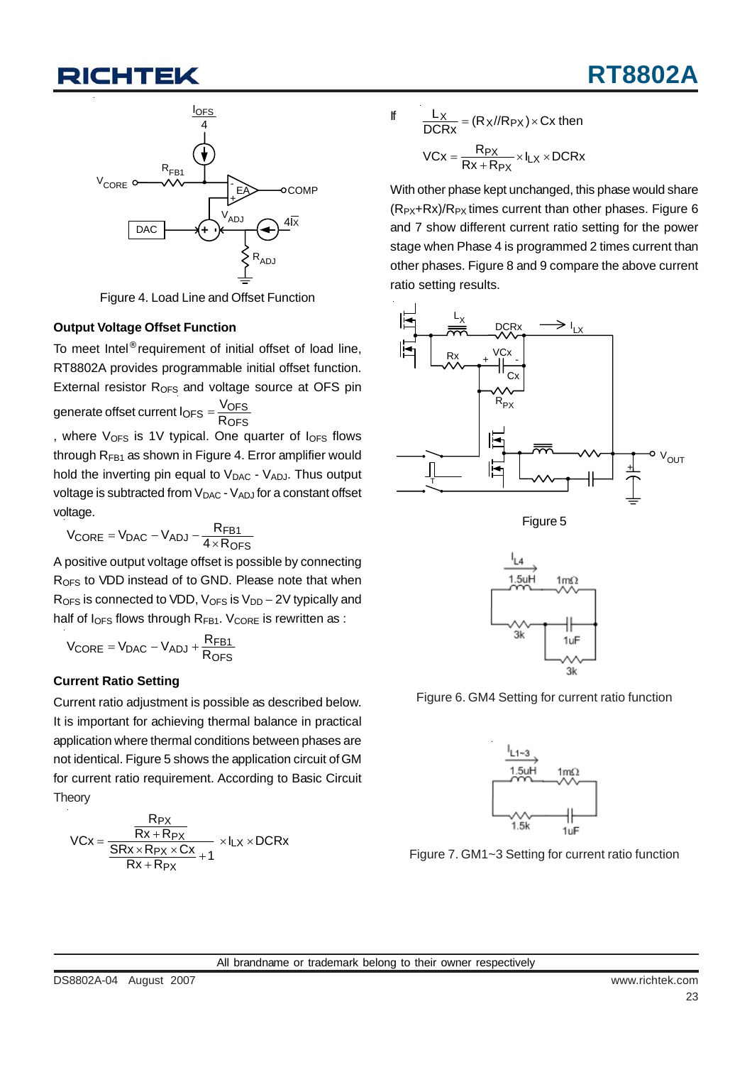## TEK

![](_page_22_Figure_2.jpeg)

Figure 4. Load Line and Offset Function

### **Output Voltage Offset Function**

To meet Intel® requirement of initial offset of load line, RT8802A provides programmable initial offset function. External resistor  $R<sub>OFS</sub>$  and voltage source at OFS pin

generate offset current l<sub>OFS</sub> =  $\frac{\text{V} \text{O} \text{F} \text{S}}{\text{R} \text{O} \text{F} \text{S}}$ 

, where  $V_{OFS}$  is 1V typical. One quarter of  $I_{OFS}$  flows through  $R_{FB1}$  as shown in Figure 4. Error amplifier would hold the inverting pin equal to  $V_{DAC}$  -  $V_{ADJ}$ . Thus output voltage is subtracted from  $V_{\text{DAC}}$  -  $V_{\text{ADJ}}$  for a constant offset voltage.

$$
V_{\text{CORE}} = V_{\text{DAC}} - V_{\text{ADJ}} - \frac{R_{\text{FB1}}}{4 \times R_{\text{OFS}}}
$$

A positive output voltage offset is possible by connecting R<sub>OFS</sub> to VDD instead of to GND. Please note that when  $R<sub>OFS</sub>$  is connected to VDD,  $V<sub>OFS</sub>$  is  $V<sub>DD</sub> - 2V$  typically and half of  $I_{\text{OFS}}$  flows through  $R_{\text{FB1}}$ . V<sub>CORE</sub> is rewritten as :

$$
V_{\text{CORE}} = V_{\text{DAC}} - V_{\text{ADJ}} + \frac{R_{\text{FB1}}}{R_{\text{OFS}}}
$$

### **Current Ratio Setting**

Current ratio adjustment is possible as described below. It is important for achieving thermal balance in practical application where thermal conditions between phases are not identical. Figure 5 shows the application circuit of GM for current ratio requirement. According to Basic Circuit **Theory** 

$$
\text{VCx} = \frac{\frac{R_{PX}}{Rx + R_{PX}}}{\frac{SRx \times R_{PX} \times Cx}{Rx + R_{PX}} + 1} \times I_{LX} \times \text{DCRx}}
$$

$$
\frac{L_X}{DCRx} = (R_X / / R_{PX}) \times C_X \text{ then}
$$

$$
VCX = \frac{R_{PX}}{Rx + R_{PX}} \times I_{LX} \times DCRx
$$

If

With other phase kept unchanged, this phase would share  $(R_{PX}+Rx)/R_{PX}$  times current than other phases. Figure 6 and 7 show different current ratio setting for the power stage when Phase 4 is programmed 2 times current than other phases. Figure 8 and 9 compare the above current ratio setting results.

![](_page_22_Figure_16.jpeg)

![](_page_22_Figure_17.jpeg)

![](_page_22_Figure_18.jpeg)

Figure 6. GM4 Setting for current ratio function

![](_page_22_Figure_20.jpeg)

Figure 7. GM1~3 Setting for current ratio function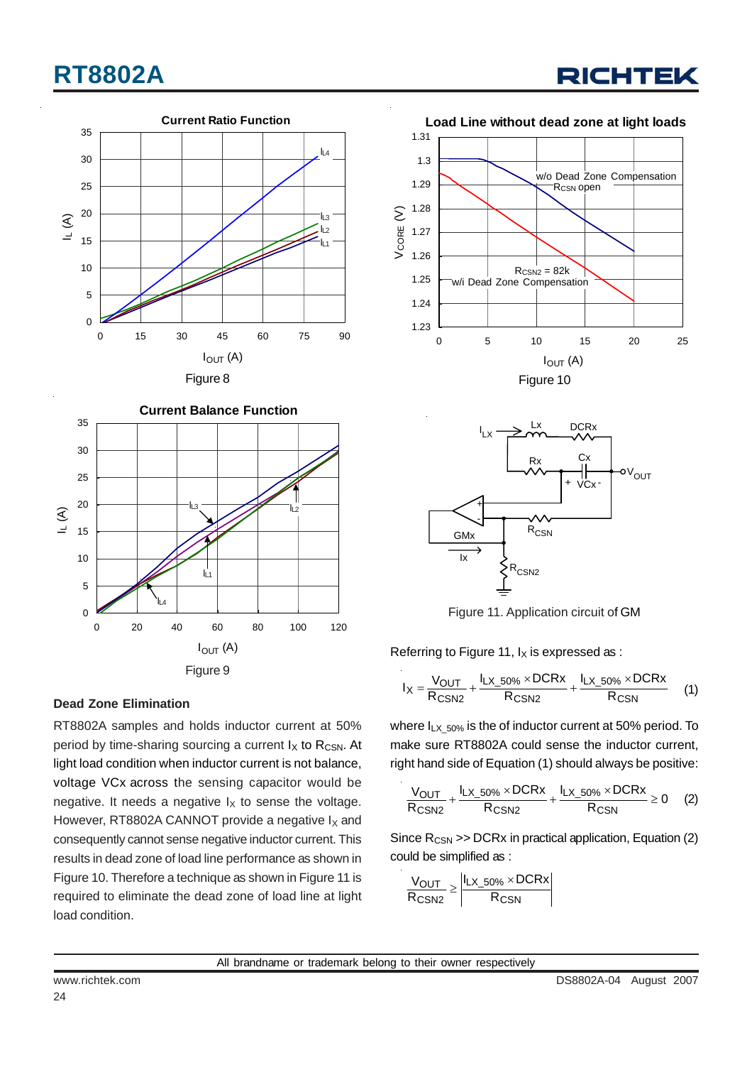# **RT8802A**

![](_page_23_Figure_1.jpeg)

![](_page_23_Figure_2.jpeg)

**Dead Zone Elimination**

RT8802A samples and holds inductor current at 50% period by time-sharing sourcing a current  $I_X$  to R<sub>CSN</sub>. At light load condition when inductor current is not balance, voltage VCx across the sensing capacitor would be negative. It needs a negative  $I_X$  to sense the voltage. However, RT8802A CANNOT provide a negative  $I_X$  and consequently cannot sense negative inductor current. This results in dead zone of load line performance as shown in Figure 10. Therefore a technique as shown in Figure 11 is required to eliminate the dead zone of load line at light load condition.

![](_page_23_Figure_5.jpeg)

![](_page_23_Figure_6.jpeg)

Figure 11. Application circuit of GM

Referring to Figure 11,  $I_X$  is expressed as :

$$
I_X = \frac{V_{OUT}}{R_{CSN2}} + \frac{I_{LX_50\%} \times DCRx}{R_{CSN2}} + \frac{I_{LX_50\%} \times DCRx}{R_{CSN}}
$$
 (1)

where  $I_{LX_250\%}$  is the of inductor current at 50% period. To make sure RT8802A could sense the inductor current, right hand side of Equation (1) should always be positive:

$$
\frac{V_{OUT}}{R_{CSN2}} + \frac{I_{LX\_50\%} \times DCRx}{R_{CSN2}} + \frac{I_{LX\_50\%} \times DCRx}{R_{CSN}} \geq 0 \qquad (2)
$$

Since  $R_{\text{CSN}} >> DCRx$  in practical application, Equation (2) could be simplified as :

$$
\frac{V_{OUT}}{R_{CSN2}} \ge \left| \frac{I_{LX\_50\%} \times DCRx}{R_{CSN}} \right|
$$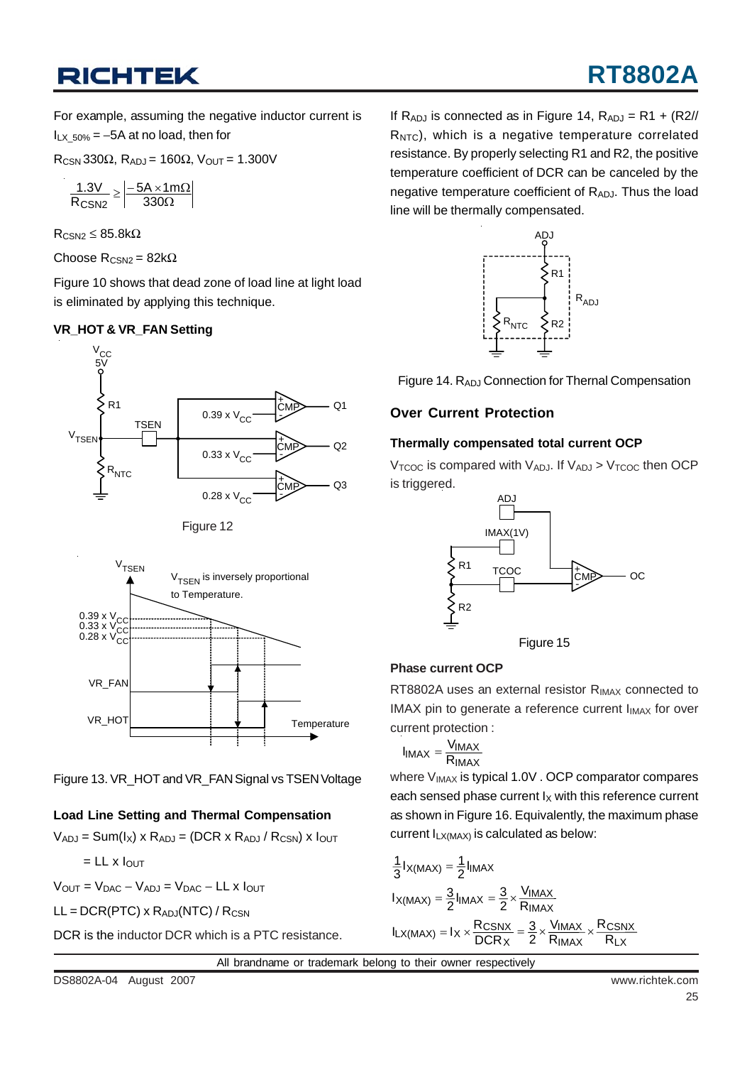## **RICHTEK**

# **RT8802A**

For example, assuming the negative inductor current is  $I_{1} \times 50\% = -5A$  at no load, then for

 $R_{CSN}$ 330Ω,  $R_{ADJ}$  = 160Ω,  $V_{OUT}$  = 1.300V

$$
\frac{1.3V}{R_{CSN2}}\geq\left|\frac{-5A\times1m\Omega}{330\Omega}\right|
$$

 $R_{CSM2} \leq 85.8k\Omega$ 

Choose  $R_{CSN2} = 82kΩ$ 

Figure 10 shows that dead zone of load line at light load is eliminated by applying this technique.

### **VR\_HOT & VR\_FAN Setting**

![](_page_24_Figure_9.jpeg)

Figure 12

![](_page_24_Figure_11.jpeg)

Figure 13. VR\_HOT and VR\_FAN Signal vs TSEN Voltage

### **Load Line Setting and Thermal Compensation**

 $V_{ADJ}$  = Sum( $I_X$ ) x R<sub>ADJ</sub> = (DCR x R<sub>ADJ</sub> / R<sub>CSN</sub>) x  $I_{OUT}$ 

$$
=
$$
 LL x  $I_{OUT}$ 

 $V_{OUT} = V_{DAC} - V_{ADJ} = V_{DAC} - LL \times I_{OUT}$ 

 $LL = DCR(PTC) \times R_{ADJ}(NTC) / R_{CSN}$ 

DCR is the inductor DCR which is a PTC resistance.

If  $R_{ADJ}$  is connected as in Figure 14,  $R_{ADJ} = R1 + (R2)/I$  $R<sub>NTC</sub>$ ), which is a negative temperature correlated resistance. By properly selecting R1 and R2, the positive temperature coefficient of DCR can be canceled by the negative temperature coefficient of  $R_{AD,I}$ . Thus the load line will be thermally compensated.

![](_page_24_Figure_20.jpeg)

![](_page_24_Figure_21.jpeg)

### **Over Current Protection**

### **Thermally compensated total current OCP**

 $V_{\text{TCOC}}$  is compared with  $V_{AD,I}$ . If  $V_{AD,I} > V_{\text{TCOC}}$  then OCP is triggered.

![](_page_24_Figure_25.jpeg)

![](_page_24_Figure_26.jpeg)

### **Phase current OCP**

RT8802A uses an external resistor R<sub>IMAX</sub> connected to IMAX pin to generate a reference current  $I_{IMAX}$  for over current protection :

$$
I_{IMAX} = \frac{V_{IMAX}}{R_{IMAX}}
$$

where V<sub>IMAX</sub> is typical 1.0V . OCP comparator compares each sensed phase current  $I_X$  with this reference current as shown in Figure 16. Equivalently, the maximum phase current  $I_{LX(MAX)}$  is calculated as below:

$$
\frac{1}{3}I_{X(MAX)} = \frac{1}{2}I_{IMAX}
$$
  
\n
$$
I_{X(MAX)} = \frac{3}{2}I_{IMAX} = \frac{3}{2} \times \frac{V_{IMAX}}{R_{IMAX}}
$$
  
\n
$$
I_{LX(MAX)} = I_X \times \frac{R_{CSNX}}{DCR_X} = \frac{3}{2} \times \frac{V_{IMAX}}{R_{IMAX}} \times \frac{R_{CSNX}}{R_{LX}}
$$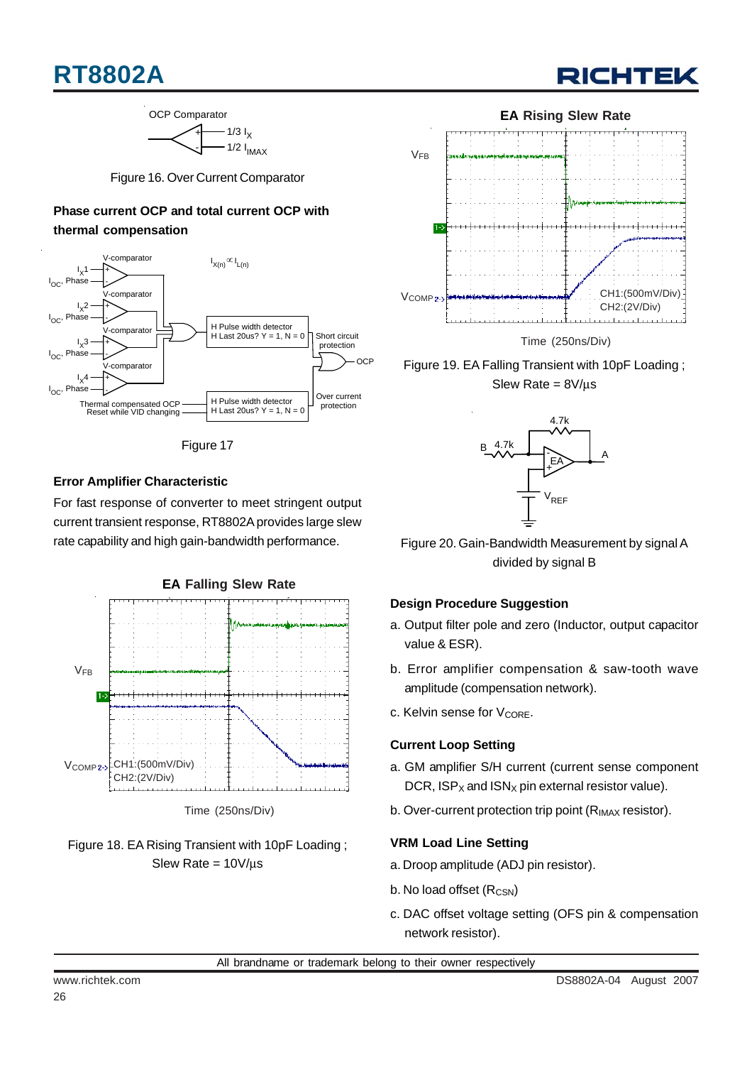## **RT8802A**

![](_page_25_Picture_1.jpeg)

![](_page_25_Figure_2.jpeg)

Figure 16. Over Current Comparator

### **Phase current OCP and total current OCP with thermal compensation**

![](_page_25_Figure_5.jpeg)

![](_page_25_Figure_6.jpeg)

### **Error Amplifier Characteristic**

For fast response of converter to meet stringent output current transient response, RT8802A provides large slew rate capability and high gain-bandwidth performance. Figure 20. Gain-Bandwidth Measurement by signal A

![](_page_25_Figure_9.jpeg)

![](_page_25_Figure_10.jpeg)

![](_page_25_Figure_11.jpeg)

Time (250ns/Div)

Figure 19. EA Falling Transient with 10pF Loading ; Slew Rate = 8V/μs

![](_page_25_Figure_14.jpeg)

divided by signal B

### **Design Procedure Suggestion**

- a. Output filter pole and zero (Inductor, output capacitor value & ESR).
- b. Error amplifier compensation & saw-tooth wave amplitude (compensation network).
- c. Kelvin sense for V<sub>CORE</sub>.

### **Current Loop Setting**

- a. GM amplifier S/H current (current sense component DCR,  $ISP_X$  and  $ISN_X$  pin external resistor value).
- b. Over-current protection trip point (R<sub>IMAX</sub> resistor).

### **VRM Load Line Setting**

- a. Droop amplitude (ADJ pin resistor).
- b. No load offset  $(R_{CSN})$
- c. DAC offset voltage setting (OFS pin & compensation network resistor).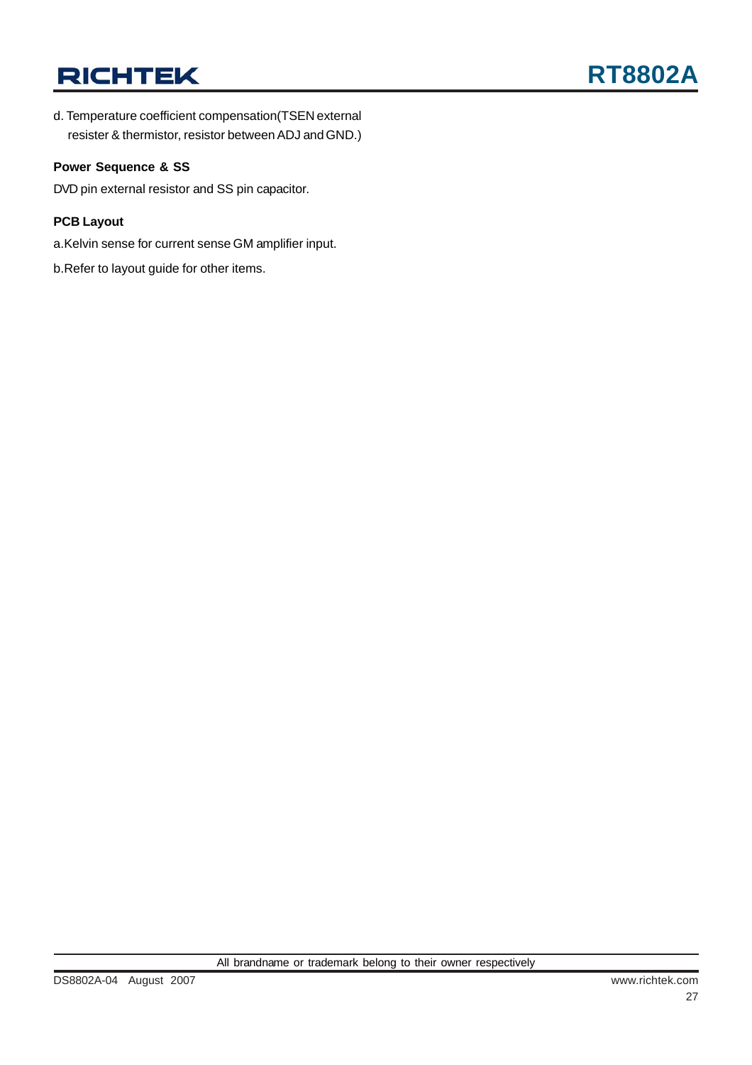## **RICHTEK**

d. Temperature coefficient compensation(TSEN external resister & thermistor, resistor between ADJ and GND.)

#### **Power Sequence & SS**

DVD pin external resistor and SS pin capacitor.

#### **PCB Layout**

a.Kelvin sense for current sense GM amplifier input.

b.Refer to layout guide for other items.